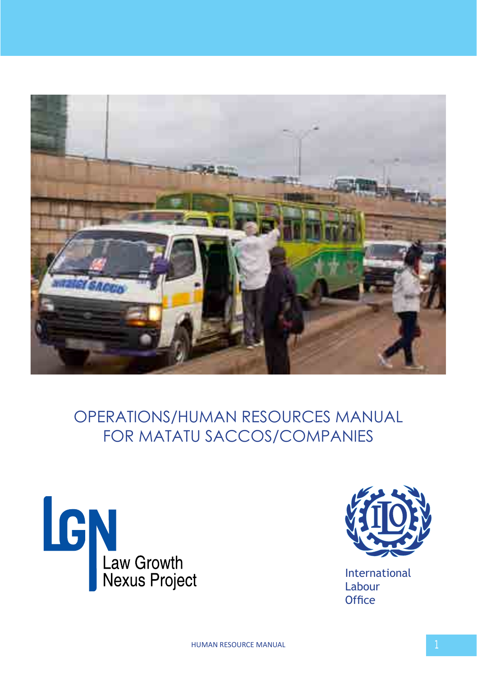

# OPERATIONS/HUMAN RESOURCES MANUAL FOR MATATU SACCOS/COMPANIES





International Labour **Office**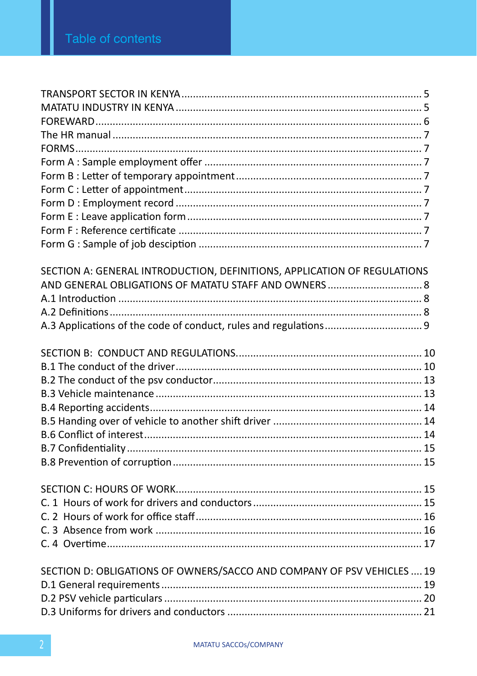| SECTION A: GENERAL INTRODUCTION, DEFINITIONS, APPLICATION OF REGULATIONS |  |
|--------------------------------------------------------------------------|--|
|                                                                          |  |
|                                                                          |  |
|                                                                          |  |
|                                                                          |  |
|                                                                          |  |
|                                                                          |  |
|                                                                          |  |
|                                                                          |  |
|                                                                          |  |
|                                                                          |  |
|                                                                          |  |
|                                                                          |  |
|                                                                          |  |
|                                                                          |  |
|                                                                          |  |
|                                                                          |  |
|                                                                          |  |
|                                                                          |  |
|                                                                          |  |
|                                                                          |  |
| SECTION D: OBLIGATIONS OF OWNERS/SACCO AND COMPANY OF PSV VEHICLES  19   |  |
|                                                                          |  |
|                                                                          |  |
|                                                                          |  |
|                                                                          |  |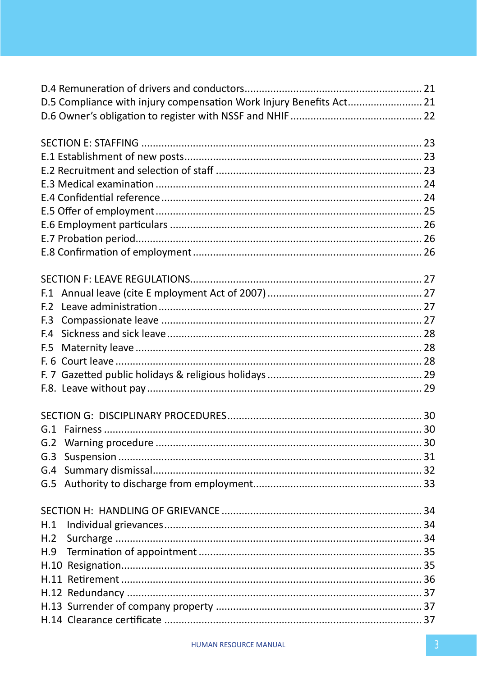|                 | D.5 Compliance with injury compensation Work Injury Benefits Act 21 |  |
|-----------------|---------------------------------------------------------------------|--|
|                 |                                                                     |  |
|                 |                                                                     |  |
|                 |                                                                     |  |
|                 |                                                                     |  |
|                 |                                                                     |  |
|                 |                                                                     |  |
|                 |                                                                     |  |
|                 |                                                                     |  |
|                 |                                                                     |  |
|                 |                                                                     |  |
|                 |                                                                     |  |
| F.1             |                                                                     |  |
| F. <sub>2</sub> |                                                                     |  |
| F.3             |                                                                     |  |
| F.4             |                                                                     |  |
| F.5             |                                                                     |  |
|                 |                                                                     |  |
|                 |                                                                     |  |
|                 |                                                                     |  |
|                 |                                                                     |  |
| G.1             |                                                                     |  |
| G.2             |                                                                     |  |
| G.3             |                                                                     |  |
| G.4             |                                                                     |  |
| G.5             |                                                                     |  |
|                 |                                                                     |  |
| H.1             |                                                                     |  |
| H.2             |                                                                     |  |
| H.9             |                                                                     |  |
|                 |                                                                     |  |
|                 |                                                                     |  |
|                 |                                                                     |  |
|                 |                                                                     |  |
|                 |                                                                     |  |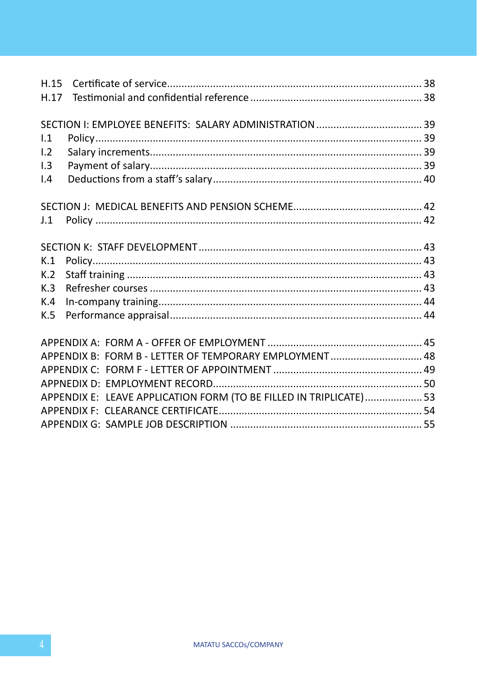| 1.1 |                                                                    |  |
|-----|--------------------------------------------------------------------|--|
| 1.2 |                                                                    |  |
| 1.3 |                                                                    |  |
| 1.4 |                                                                    |  |
|     |                                                                    |  |
|     |                                                                    |  |
| J.1 |                                                                    |  |
|     |                                                                    |  |
|     |                                                                    |  |
| K.1 |                                                                    |  |
| K.2 |                                                                    |  |
| K.3 |                                                                    |  |
| K.4 |                                                                    |  |
| K.5 |                                                                    |  |
|     |                                                                    |  |
|     |                                                                    |  |
|     | APPENDIX B: FORM B - LETTER OF TEMPORARY EMPLOYMENT 48             |  |
|     |                                                                    |  |
|     |                                                                    |  |
|     | APPENDIX E: LEAVE APPLICATION FORM (TO BE FILLED IN TRIPLICATE) 53 |  |
|     |                                                                    |  |
|     |                                                                    |  |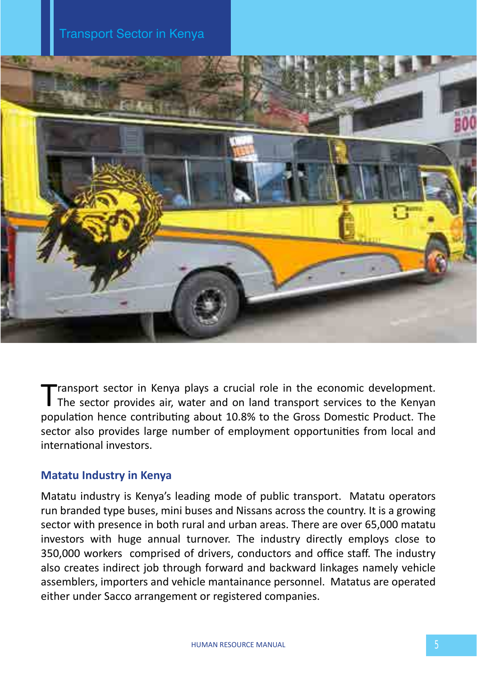

Transport sector in Kenya plays a crucial role in the economic development.<br>The sector provides air, water and on land transport services to the Kenyan population hence contributing about 10.8% to the Gross Domestic Product. The sector also provides large number of employment opportunities from local and international investors.

# **Matatu Industry in Kenya**

Matatu industry is Kenya's leading mode of public transport. Matatu operators run branded type buses, mini buses and Nissans across the country. It is a growing sector with presence in both rural and urban areas. There are over 65,000 matatu investors with huge annual turnover. The industry directly employs close to 350,000 workers comprised of drivers, conductors and office staff. The industry also creates indirect job through forward and backward linkages namely vehicle assemblers, importers and vehicle mantainance personnel. Matatus are operated either under Sacco arrangement or registered companies.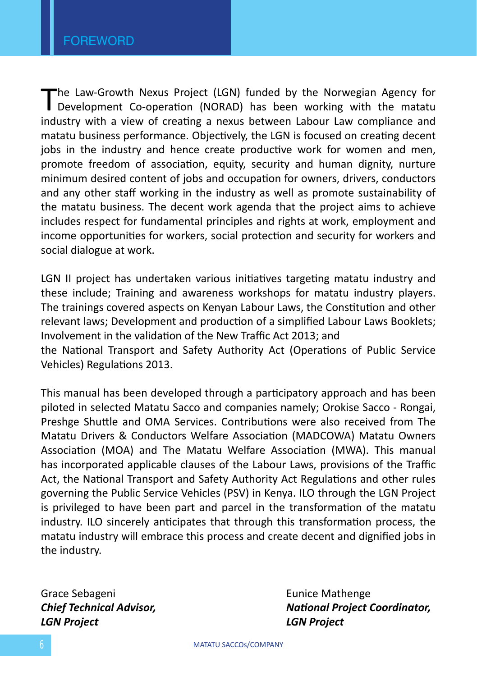The Law-Growth Nexus Project (LGN) funded by the Norwegian Agency for<br>Development Co-operation (NORAD) has been working with the matatu industry with a view of creating a nexus between Labour Law compliance and matatu business performance. Objectively, the LGN is focused on creating decent jobs in the industry and hence create productive work for women and men, promote freedom of association, equity, security and human dignity, nurture minimum desired content of jobs and occupation for owners, drivers, conductors and any other staff working in the industry as well as promote sustainability of the matatu business. The decent work agenda that the project aims to achieve includes respect for fundamental principles and rights at work, employment and income opportunities for workers, social protection and security for workers and social dialogue at work.

LGN II project has undertaken various initiatives targeting matatu industry and these include; Training and awareness workshops for matatu industry players. The trainings covered aspects on Kenyan Labour Laws, the Constitution and other relevant laws; Development and production of a simplified Labour Laws Booklets; Involvement in the validation of the New Traffic Act 2013; and

the National Transport and Safety Authority Act (Operations of Public Service Vehicles) Regulations 2013.

This manual has been developed through a participatory approach and has been piloted in selected Matatu Sacco and companies namely; Orokise Sacco - Rongai, Preshge Shuttle and OMA Services. Contributions were also received from The Matatu Drivers & Conductors Welfare Association (MADCOWA) Matatu Owners Association (MOA) and The Matatu Welfare Association (MWA). This manual has incorporated applicable clauses of the Labour Laws, provisions of the Traffic Act, the National Transport and Safety Authority Act Regulations and other rules governing the Public Service Vehicles (PSV) in Kenya. ILO through the LGN Project is privileged to have been part and parcel in the transformation of the matatu industry. ILO sincerely anticipates that through this transformation process, the matatu industry will embrace this process and create decent and dignified jobs in the industry.

Grace Sebageni **Eunice Mathenge** *LGN Project LGN Project*

*Chief Technical Advisor, National Project Coordinator,*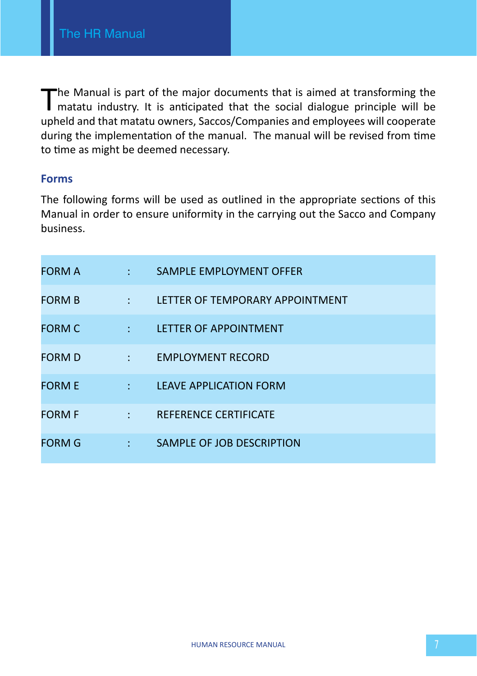The Manual is part of the major documents that is aimed at transforming the I matatu industry. It is anticipated that the social dialogue principle will be upheld and that matatu owners, Saccos/Companies and employees will cooperate during the implementation of the manual. The manual will be revised from time to time as might be deemed necessary.

### **Forms**

The following forms will be used as outlined in the appropriate sections of this Manual in order to ensure uniformity in the carrying out the Sacco and Company business.

| <b>FORM A</b> | <b>Service</b> State              | SAMPLE EMPLOYMENT OFFER               |
|---------------|-----------------------------------|---------------------------------------|
| <b>FORM B</b> | <b>Contract Contract</b>          | LETTER OF TEMPORARY APPOINTMENT       |
| <b>FORM C</b> | <b>Contract Contract</b>          | LETTER OF APPOINTMENT                 |
| <b>FORM D</b> |                                   | EMPLOYMENT RECORD : EMPLOYMENT RECORD |
| <b>FORM E</b> | <b>Contract Contract</b>          | LEAVE APPLICATION FORM                |
| <b>FORM F</b> | <b>Contract Contract Contract</b> | REFERENCE CERTIFICATE                 |
| <b>FORM G</b> | <b>Service State</b>              | SAMPLE OF JOB DESCRIPTION             |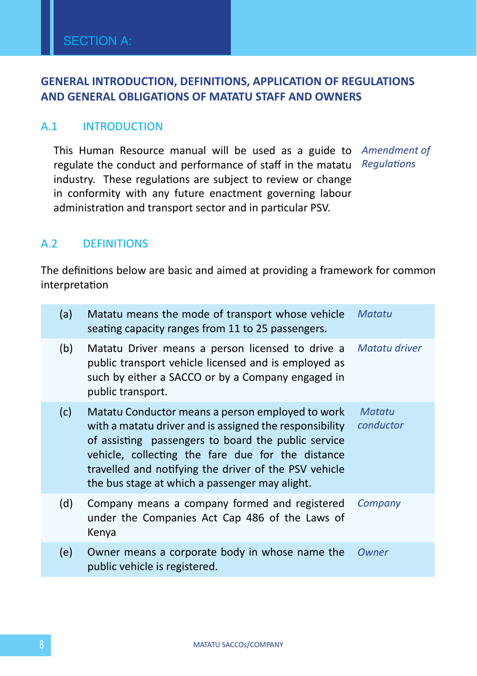# **GENERAL INTRODUCTION, DEFINITIONS, APPLICATION OF REGULATIONS AND GENERAL OBLIGATIONS OF MATATU STAFF AND OWNERS**

### A.1 INTRODUCTION

This Human Resource manual will be used as a guide to *Amendment of*  regulate the conduct and performance of staff in the matatu *Regulations* industry. These regulations are subject to review or change in conformity with any future enactment governing labour administration and transport sector and in particular PSV.

# A.2 DEFINITIONS

The definitions below are basic and aimed at providing a framework for common interpretation

| (a) | Matatu means the mode of transport whose vehicle<br>seating capacity ranges from 11 to 25 passengers.                                                                                                                                                                                                                              | Matatu              |
|-----|------------------------------------------------------------------------------------------------------------------------------------------------------------------------------------------------------------------------------------------------------------------------------------------------------------------------------------|---------------------|
| (b) | Matatu Driver means a person licensed to drive a<br>public transport vehicle licensed and is employed as<br>such by either a SACCO or by a Company engaged in<br>public transport.                                                                                                                                                 | Matatu driver       |
| (c) | Matatu Conductor means a person employed to work<br>with a matatu driver and is assigned the responsibility<br>of assisting passengers to board the public service<br>vehicle, collecting the fare due for the distance<br>travelled and notifying the driver of the PSV vehicle<br>the bus stage at which a passenger may alight. | Matatu<br>conductor |
| (d) | Company means a company formed and registered<br>under the Companies Act Cap 486 of the Laws of<br>Kenya                                                                                                                                                                                                                           | Company             |
| (e) | Owner means a corporate body in whose name the<br>public vehicle is registered.                                                                                                                                                                                                                                                    | Owner               |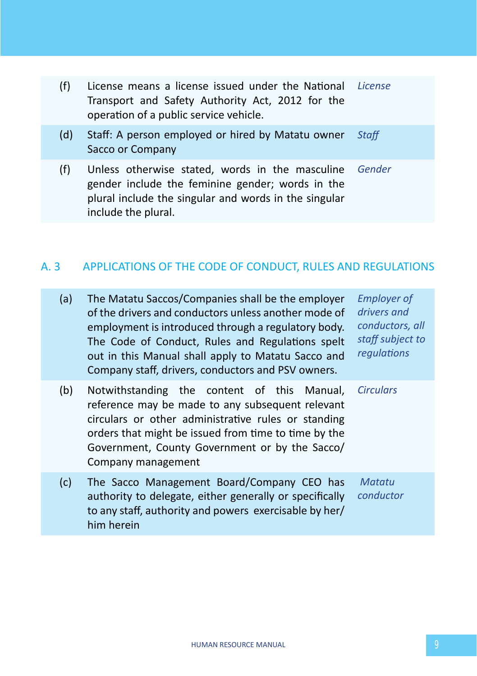| (f) | License means a license issued under the National License<br>Transport and Safety Authority Act, 2012 for the<br>operation of a public service vehicle.                             |        |
|-----|-------------------------------------------------------------------------------------------------------------------------------------------------------------------------------------|--------|
| (d) | Staff: A person employed or hired by Matatu owner<br>Sacco or Company                                                                                                               | Staff  |
| (f) | Unless otherwise stated, words in the masculine<br>gender include the feminine gender; words in the<br>plural include the singular and words in the singular<br>include the plural. | Gender |

# A. 3 APPLICATIONS OF THE CODE OF CONDUCT, RULES AND REGULATIONS

| (a) | The Matatu Saccos/Companies shall be the employer<br>of the drivers and conductors unless another mode of<br>employment is introduced through a regulatory body.<br>The Code of Conduct, Rules and Regulations spelt<br>out in this Manual shall apply to Matatu Sacco and<br>Company staff, drivers, conductors and PSV owners. | <b>Employer of</b><br>drivers and<br>conductors, all<br>staff subject to<br>regulations |
|-----|----------------------------------------------------------------------------------------------------------------------------------------------------------------------------------------------------------------------------------------------------------------------------------------------------------------------------------|-----------------------------------------------------------------------------------------|
| (b) | Notwithstanding the content of this Manual,<br>reference may be made to any subsequent relevant<br>circulars or other administrative rules or standing<br>orders that might be issued from time to time by the<br>Government, County Government or by the Sacco/<br>Company management                                           | <b>Circulars</b>                                                                        |
| (c) | The Sacco Management Board/Company CEO has<br>authority to delegate, either generally or specifically<br>to any staff, authority and powers exercisable by her/<br>him herein                                                                                                                                                    | Matatu<br>conductor                                                                     |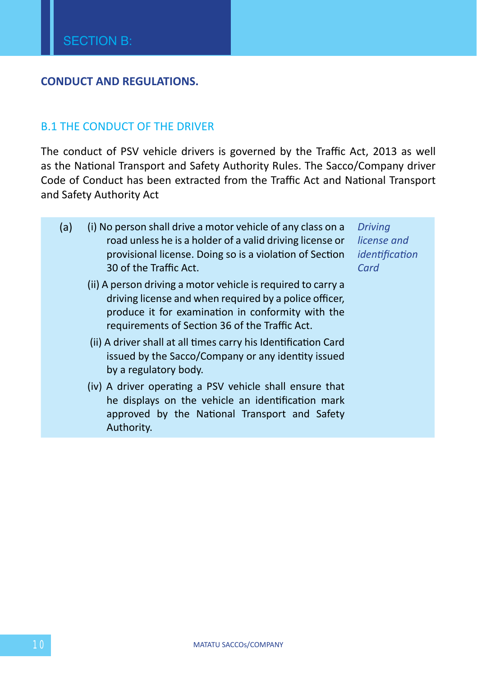### **CONDUCT AND REGULATIONS.**

#### B.1 THE CONDUCT OF THE DRIVER

The conduct of PSV vehicle drivers is governed by the Traffic Act, 2013 as well as the National Transport and Safety Authority Rules. The Sacco/Company driver Code of Conduct has been extracted from the Traffic Act and National Transport and Safety Authority Act

- (a) (i) No person shall drive a motor vehicle of any class on a road unless he is a holder of a valid driving license or provisional license. Doing so is a violation of Section 30 of the Traffic Act.
	- (ii) A person driving a motor vehicle is required to carry a driving license and when required by a police officer, produce it for examination in conformity with the requirements of Section 36 of the Traffic Act.
	- (ii) A driver shall at all times carry his Identification Card issued by the Sacco/Company or any identity issued by a regulatory body.
	- (iv) A driver operating a PSV vehicle shall ensure that he displays on the vehicle an identification mark approved by the National Transport and Safety Authority.

*Driving license and identification Card*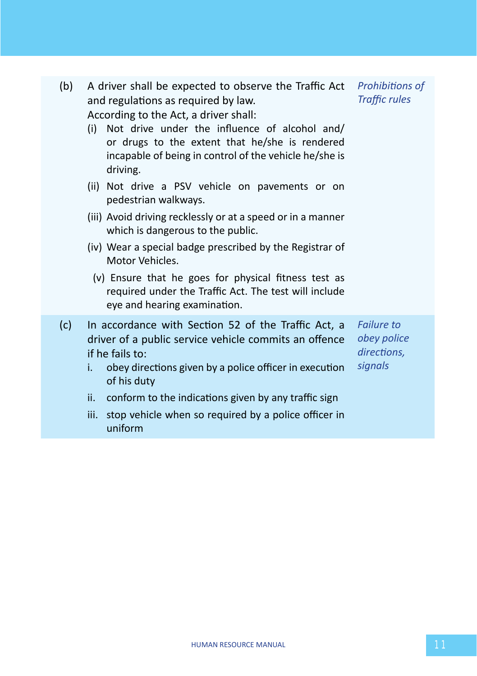| (b) | A driver shall be expected to observe the Traffic Act Prohibitions of<br>and regulations as required by law.<br>According to the Act, a driver shall:<br>Not drive under the influence of alcohol and/<br>(i)<br>or drugs to the extent that he/she is rendered<br>incapable of being in control of the vehicle he/she is<br>driving.<br>(ii) Not drive a PSV vehicle on pavements or on<br>pedestrian walkways.<br>(iii) Avoid driving recklessly or at a speed or in a manner<br>which is dangerous to the public.<br>(iv) Wear a special badge prescribed by the Registrar of<br>Motor Vehicles.<br>(v) Ensure that he goes for physical fitness test as<br>required under the Traffic Act. The test will include<br>eye and hearing examination. | <b>Traffic rules</b>                                       |
|-----|------------------------------------------------------------------------------------------------------------------------------------------------------------------------------------------------------------------------------------------------------------------------------------------------------------------------------------------------------------------------------------------------------------------------------------------------------------------------------------------------------------------------------------------------------------------------------------------------------------------------------------------------------------------------------------------------------------------------------------------------------|------------------------------------------------------------|
| (c) | In accordance with Section 52 of the Traffic Act, a<br>driver of a public service vehicle commits an offence<br>if he fails to:<br>obey directions given by a police officer in execution<br>i.<br>of his duty<br>ii.<br>conform to the indications given by any traffic sign<br>iii.<br>stop vehicle when so required by a police officer in                                                                                                                                                                                                                                                                                                                                                                                                        | <b>Failure to</b><br>obey police<br>directions,<br>signals |
|     | uniform                                                                                                                                                                                                                                                                                                                                                                                                                                                                                                                                                                                                                                                                                                                                              |                                                            |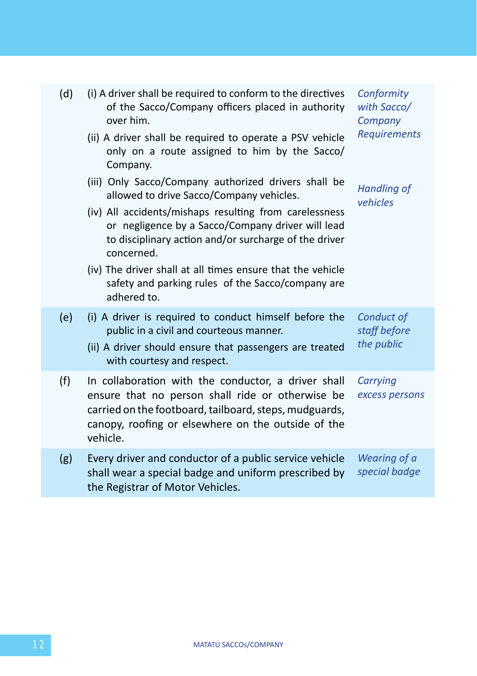| (d) | (i) A driver shall be required to conform to the directives<br>of the Sacco/Company officers placed in authority<br>over him.<br>(ii) A driver shall be required to operate a PSV vehicle<br>only on a route assigned to him by the Sacco/<br>Company.<br>(iii) Only Sacco/Company authorized drivers shall be<br>allowed to drive Sacco/Company vehicles.<br>(iv) All accidents/mishaps resulting from carelessness<br>or negligence by a Sacco/Company driver will lead<br>to disciplinary action and/or surcharge of the driver<br>concerned.<br>(iv) The driver shall at all times ensure that the vehicle<br>safety and parking rules of the Sacco/company are<br>adhered to. | Conformity<br>with Sacco/<br>Company<br>Requirements<br><b>Handling of</b><br>vehicles |
|-----|------------------------------------------------------------------------------------------------------------------------------------------------------------------------------------------------------------------------------------------------------------------------------------------------------------------------------------------------------------------------------------------------------------------------------------------------------------------------------------------------------------------------------------------------------------------------------------------------------------------------------------------------------------------------------------|----------------------------------------------------------------------------------------|
| (e) | (i) A driver is required to conduct himself before the<br>public in a civil and courteous manner.<br>(ii) A driver should ensure that passengers are treated<br>with courtesy and respect.                                                                                                                                                                                                                                                                                                                                                                                                                                                                                         | Conduct of<br>staff before<br>the public                                               |
| (f) | In collaboration with the conductor, a driver shall<br>ensure that no person shall ride or otherwise be<br>carried on the footboard, tailboard, steps, mudguards,<br>canopy, roofing or elsewhere on the outside of the<br>vehicle.                                                                                                                                                                                                                                                                                                                                                                                                                                                | Carrying<br>excess persons                                                             |
| (g) | Every driver and conductor of a public service vehicle<br>shall wear a special badge and uniform prescribed by<br>the Registrar of Motor Vehicles.                                                                                                                                                                                                                                                                                                                                                                                                                                                                                                                                 | Wearing of a<br>special badge                                                          |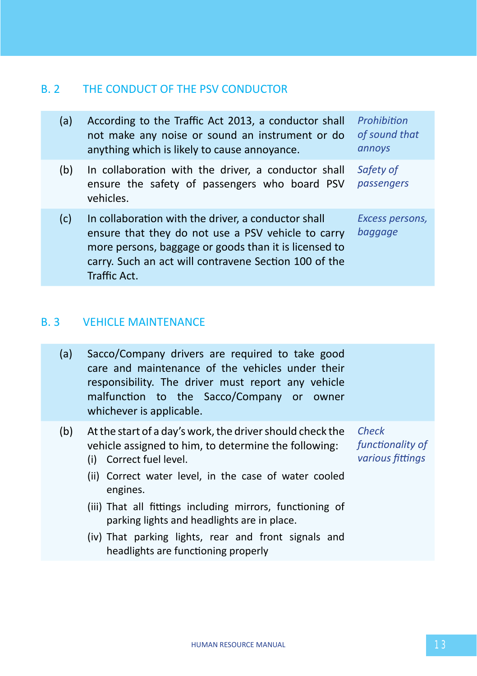# B. 2 THE CONDUCT OF THE PSV CONDUCTOR

| (a) | According to the Traffic Act 2013, a conductor shall<br>not make any noise or sound an instrument or do<br>anything which is likely to cause annoyance.                                                                                     | Prohibition<br>of sound that<br>annoys |
|-----|---------------------------------------------------------------------------------------------------------------------------------------------------------------------------------------------------------------------------------------------|----------------------------------------|
| (b) | In collaboration with the driver, a conductor shall<br>ensure the safety of passengers who board PSV<br>vehicles.                                                                                                                           | Safety of<br>passengers                |
| (c) | In collaboration with the driver, a conductor shall<br>ensure that they do not use a PSV vehicle to carry<br>more persons, baggage or goods than it is licensed to<br>carry. Such an act will contravene Section 100 of the<br>Traffic Act. | Excess persons,<br>baggage             |

### B. 3 VEHICLE MAINTENANCE

| (a) | Sacco/Company drivers are required to take good    |
|-----|----------------------------------------------------|
|     | care and maintenance of the vehicles under their   |
|     | responsibility. The driver must report any vehicle |
|     | malfunction to the Sacco/Company or owner          |
|     | whichever is applicable.                           |

- (b) At the start of a day's work, the driver should check the vehicle assigned to him, to determine the following:
	- (i) Correct fuel level.

*Check functionality of various fittings*

- (ii) Correct water level, in the case of water cooled engines.
- (iii) That all fittings including mirrors, functioning of parking lights and headlights are in place.
- (iv) That parking lights, rear and front signals and headlights are functioning properly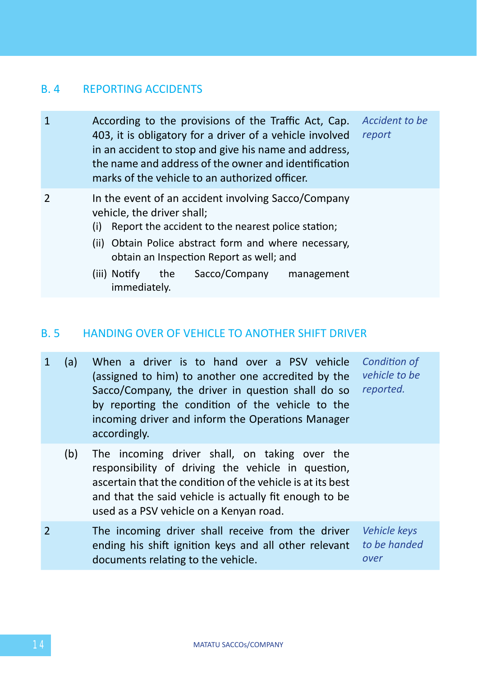### B. 4 REPORTING ACCIDENTS

| $\mathbf{1}$ | According to the provisions of the Traffic Act, Cap.<br>Accident to be<br>403, it is obligatory for a driver of a vehicle involved<br>report<br>in an accident to stop and give his name and address,<br>the name and address of the owner and identification<br>marks of the vehicle to an authorized officer. |
|--------------|-----------------------------------------------------------------------------------------------------------------------------------------------------------------------------------------------------------------------------------------------------------------------------------------------------------------|
| 2            | In the event of an accident involving Sacco/Company<br>vehicle, the driver shall;<br>Report the accident to the nearest police station;<br>(i)<br>(ii) Obtain Police abstract form and where necessary,<br>obtain an Inspection Report as well; and                                                             |
|              | the Sacco/Company<br>(iii) Notify<br>management<br>immediately.                                                                                                                                                                                                                                                 |

### B. 5 HANDING OVER OF VEHICLE TO ANOTHER SHIFT DRIVER

- 1 (a) When a driver is to hand over a PSV vehicle (assigned to him) to another one accredited by the Sacco/Company, the driver in question shall do so by reporting the condition of the vehicle to the incoming driver and inform the Operations Manager accordingly. *Condition of vehicle to be reported.*
	- (b) The incoming driver shall, on taking over the responsibility of driving the vehicle in question, ascertain that the condition of the vehicle is at its best and that the said vehicle is actually fit enough to be used as a PSV vehicle on a Kenyan road.
- 2 The incoming driver shall receive from the driver ending his shift ignition keys and all other relevant documents relating to the vehicle. *over*

*Vehicle keys to be handed*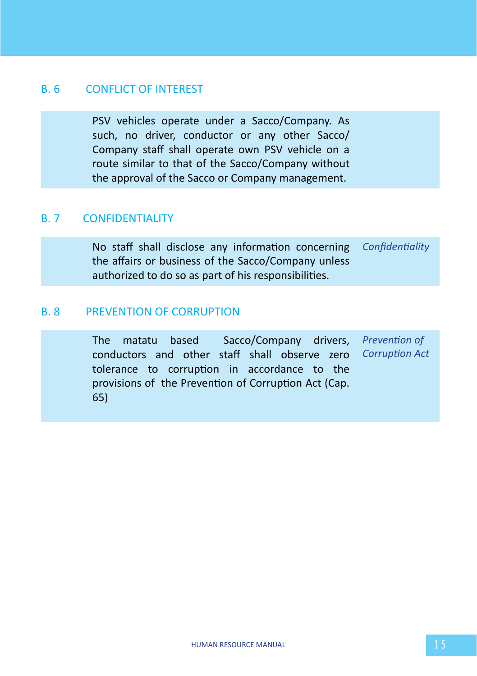### B. 6 CONFLICT OF INTEREST

PSV vehicles operate under a Sacco/Company. As such, no driver, conductor or any other Sacco/ Company staff shall operate own PSV vehicle on a route similar to that of the Sacco/Company without the approval of the Sacco or Company management.

### B. 7 CONFIDENTIALITY

No staff shall disclose any information concerning the affairs or business of the Sacco/Company unless authorized to do so as part of his responsibilities. *Confidentiality*

#### B. 8 PREVENTION OF CORRUPTION

The matatu based Sacco/Company drivers, *Prevention of*  conductors and other staff shall observe zero tolerance to corruption in accordance to the provisions of the Prevention of Corruption Act (Cap. 65) *Corruption Act*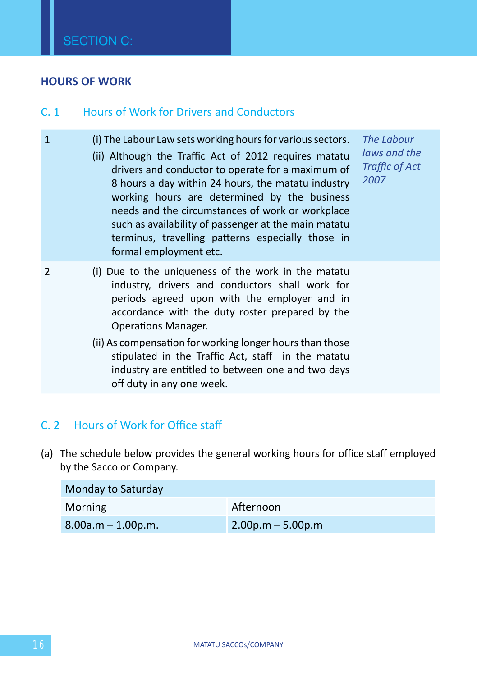#### **HOURS OF WORK**

### C. 1 Hours of Work for Drivers and Conductors

- 1 (i) The Labour Law sets working hours for various sectors.
	- (ii) Although the Traffic Act of 2012 requires matatu drivers and conductor to operate for a maximum of 8 hours a day within 24 hours, the matatu industry working hours are determined by the business needs and the circumstances of work or workplace such as availability of passenger at the main matatu terminus, travelling patterns especially those in formal employment etc.

*The Labour laws and the Traffic of Act 2007* 

- 2 (i) Due to the uniqueness of the work in the matatu industry, drivers and conductors shall work for periods agreed upon with the employer and in accordance with the duty roster prepared by the Operations Manager.
	- (ii) As compensation for working longer hours than those stipulated in the Traffic Act, staff in the matatu industry are entitled to between one and two days off duty in any one week.

### C. 2 Hours of Work for Office staff

(a) The schedule below provides the general working hours for office staff employed by the Sacco or Company.

| Monday to Saturday   |                      |  |
|----------------------|----------------------|--|
| Morning              | Afternoon            |  |
| $8.00a.m - 1.00p.m.$ | $2.00$ p.m – 5.00p.m |  |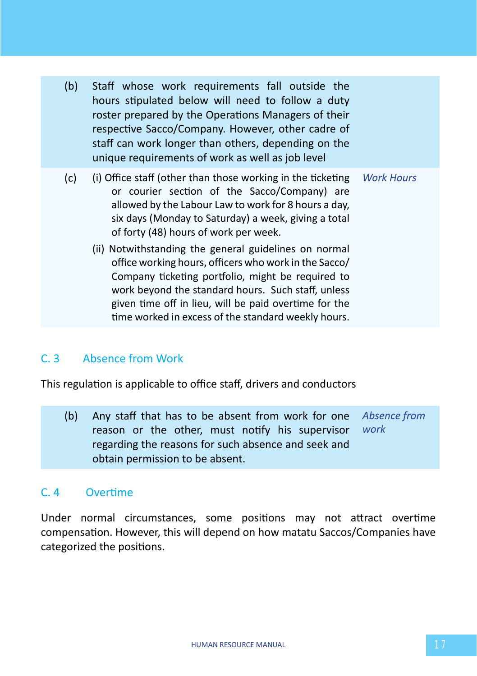- (b) Staff whose work requirements fall outside the hours stipulated below will need to follow a duty roster prepared by the Operations Managers of their respective Sacco/Company. However, other cadre of staff can work longer than others, depending on the unique requirements of work as well as job level
- (c) (i) Office staff (other than those working in the ticketing or courier section of the Sacco/Company) are allowed by the Labour Law to work for 8 hours a day, six days (Monday to Saturday) a week, giving a total of forty (48) hours of work per week. *Work Hours*
	- (ii) Notwithstanding the general guidelines on normal office working hours, officers who work in the Sacco/ Company ticketing portfolio, might be required to work beyond the standard hours. Such staff, unless given time off in lieu, will be paid overtime for the time worked in excess of the standard weekly hours.

# C. 3 Absence from Work

This regulation is applicable to office staff, drivers and conductors

(b) Any staff that has to be absent from work for one reason or the other, must notify his supervisor regarding the reasons for such absence and seek and obtain permission to be absent. *Absence from work*

# C. 4 Overtime

Under normal circumstances, some positions may not attract overtime compensation. However, this will depend on how matatu Saccos/Companies have categorized the positions.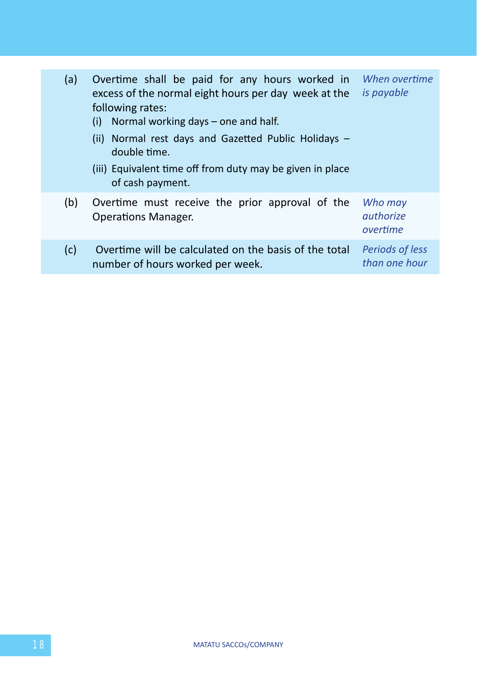| (a) | Overtime shall be paid for any hours worked in<br>excess of the normal eight hours per day week at the<br>following rates:<br>Normal working days – one and half.<br>(i)<br>(ii) Normal rest days and Gazetted Public Holidays $-$<br>double time.<br>(iii) Equivalent time off from duty may be given in place<br>of cash payment. | When overtime<br><i>is payable</i>      |
|-----|-------------------------------------------------------------------------------------------------------------------------------------------------------------------------------------------------------------------------------------------------------------------------------------------------------------------------------------|-----------------------------------------|
| (b) | Overtime must receive the prior approval of the<br><b>Operations Manager.</b>                                                                                                                                                                                                                                                       | Who may<br>authorize<br>overtime        |
| (c) | Overtime will be calculated on the basis of the total<br>number of hours worked per week.                                                                                                                                                                                                                                           | <b>Periods of less</b><br>than one hour |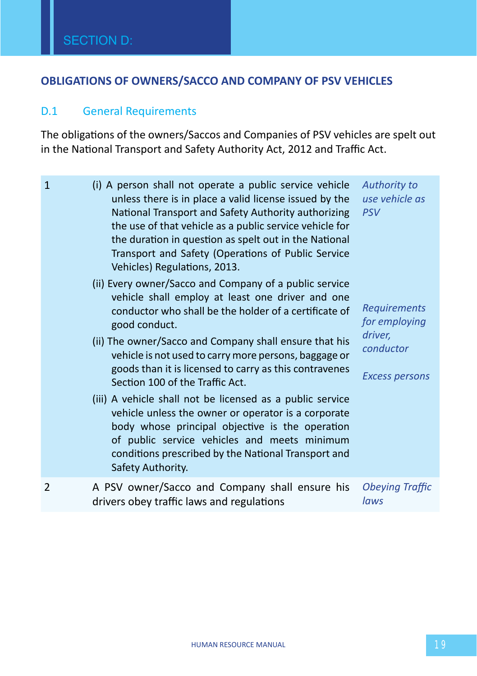# **OBLIGATIONS OF OWNERS/SACCO AND COMPANY OF PSV VEHICLES**

# D.1 General Requirements

The obligations of the owners/Saccos and Companies of PSV vehicles are spelt out in the National Transport and Safety Authority Act, 2012 and Traffic Act.

| $\mathbf{1}$   | (i) A person shall not operate a public service vehicle<br>unless there is in place a valid license issued by the<br>National Transport and Safety Authority authorizing<br>the use of that vehicle as a public service vehicle for<br>the duration in question as spelt out in the National<br>Transport and Safety (Operations of Public Service<br>Vehicles) Regulations, 2013.<br>(ii) Every owner/Sacco and Company of a public service<br>vehicle shall employ at least one driver and one<br>conductor who shall be the holder of a certificate of<br>good conduct.<br>(ii) The owner/Sacco and Company shall ensure that his<br>vehicle is not used to carry more persons, baggage or<br>goods than it is licensed to carry as this contravenes<br>Section 100 of the Traffic Act.<br>(iii) A vehicle shall not be licensed as a public service<br>vehicle unless the owner or operator is a corporate<br>body whose principal objective is the operation<br>of public service vehicles and meets minimum<br>conditions prescribed by the National Transport and<br>Safety Authority. | Authority to<br>use vehicle as<br><b>PSV</b><br><b>Requirements</b><br>for employing<br>driver,<br>conductor<br><b>Excess persons</b> |
|----------------|-----------------------------------------------------------------------------------------------------------------------------------------------------------------------------------------------------------------------------------------------------------------------------------------------------------------------------------------------------------------------------------------------------------------------------------------------------------------------------------------------------------------------------------------------------------------------------------------------------------------------------------------------------------------------------------------------------------------------------------------------------------------------------------------------------------------------------------------------------------------------------------------------------------------------------------------------------------------------------------------------------------------------------------------------------------------------------------------------|---------------------------------------------------------------------------------------------------------------------------------------|
| $\overline{2}$ | A PSV owner/Sacco and Company shall ensure his<br>drivers obey traffic laws and regulations                                                                                                                                                                                                                                                                                                                                                                                                                                                                                                                                                                                                                                                                                                                                                                                                                                                                                                                                                                                                   | <b>Obeying Traffic</b><br>laws                                                                                                        |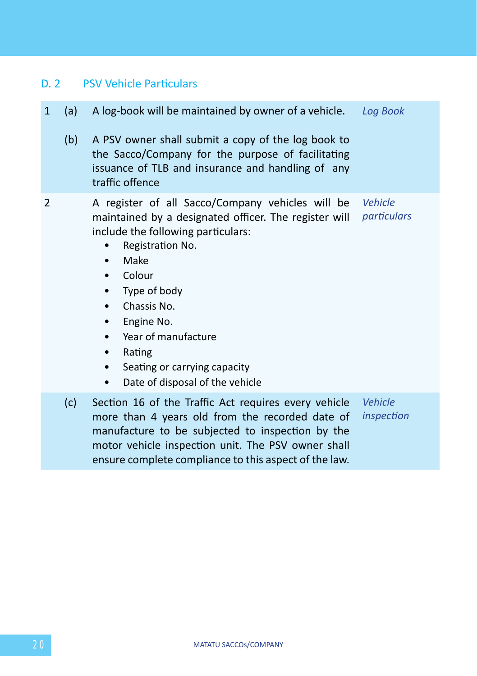# D. 2 PSV Vehicle Particulars

| $\mathbf{1}$ | (a) | A log-book will be maintained by owner of a vehicle. Log Book                                                                                                                                                                                                                                                                                                                                                       |                        |
|--------------|-----|---------------------------------------------------------------------------------------------------------------------------------------------------------------------------------------------------------------------------------------------------------------------------------------------------------------------------------------------------------------------------------------------------------------------|------------------------|
|              | (b) | A PSV owner shall submit a copy of the log book to<br>the Sacco/Company for the purpose of facilitating<br>issuance of TLB and insurance and handling of any<br>traffic offence                                                                                                                                                                                                                                     |                        |
| 2            |     | A register of all Sacco/Company vehicles will be<br>maintained by a designated officer. The register will<br>include the following particulars:<br>Registration No.<br>Make<br>٠<br>Colour<br>$\bullet$<br>Type of body<br>٠<br>Chassis No.<br>$\bullet$<br>Engine No.<br>٠<br>Year of manufacture<br>٠<br>Rating<br>٠<br>Seating or carrying capacity<br>$\bullet$<br>Date of disposal of the vehicle<br>$\bullet$ | Vehicle<br>particulars |
|              | (c) | Section 16 of the Traffic Act requires every vehicle<br>more than 4 years old from the recorded date of<br>manufacture to be subjected to inspection by the<br>motor vehicle inspection unit. The PSV owner shall<br>ensure complete compliance to this aspect of the law.                                                                                                                                          | Vehicle<br>inspection  |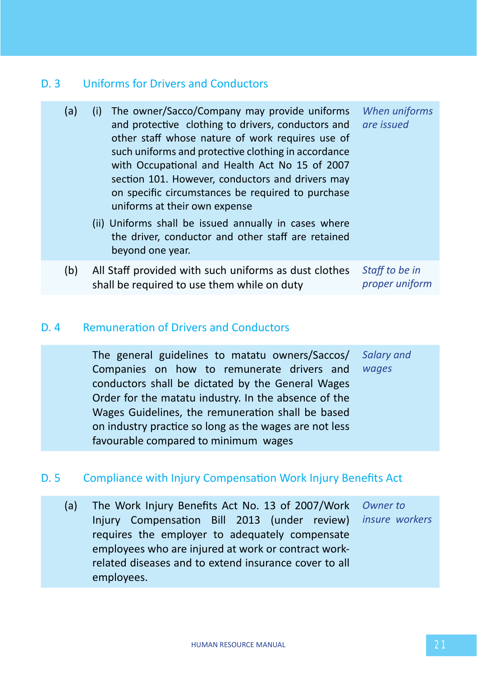# D. 3 Uniforms for Drivers and Conductors

| (a) | The owner/Sacco/Company may provide uniforms<br>(i)<br>and protective clothing to drivers, conductors and<br>other staff whose nature of work requires use of<br>such uniforms and protective clothing in accordance<br>with Occupational and Health Act No 15 of 2007<br>section 101. However, conductors and drivers may<br>on specific circumstances be required to purchase<br>uniforms at their own expense<br>(ii) Uniforms shall be issued annually in cases where<br>the driver, conductor and other staff are retained<br>beyond one year. | When uniforms<br>are issued      |
|-----|-----------------------------------------------------------------------------------------------------------------------------------------------------------------------------------------------------------------------------------------------------------------------------------------------------------------------------------------------------------------------------------------------------------------------------------------------------------------------------------------------------------------------------------------------------|----------------------------------|
| (b) | All Staff provided with such uniforms as dust clothes<br>shall be required to use them while on duty                                                                                                                                                                                                                                                                                                                                                                                                                                                | Staff to be in<br>proper uniform |

### D. 4 Remuneration of Drivers and Conductors

The general guidelines to matatu owners/Saccos/ Companies on how to remunerate drivers and conductors shall be dictated by the General Wages Order for the matatu industry. In the absence of the Wages Guidelines, the remuneration shall be based on industry practice so long as the wages are not less favourable compared to minimum wages *Salary and wages*

# D. 5 Compliance with Injury Compensation Work Injury Benefits Act

(a) The Work Injury Benefits Act No. 13 of 2007/Work *Owner to*  Injury Compensation Bill 2013 (under review) *insure workers*requires the employer to adequately compensate employees who are injured at work or contract workrelated diseases and to extend insurance cover to all employees.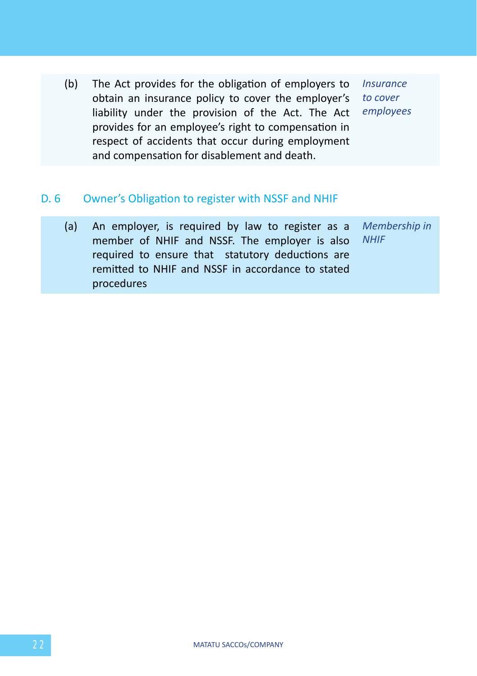(b) The Act provides for the obligation of employers to obtain an insurance policy to cover the employer's *to cover*  liability under the provision of the Act. The Act provides for an employee's right to compensation in respect of accidents that occur during employment and compensation for disablement and death.

*Insurance employees*

### D. 6 Owner's Obligation to register with NSSF and NHIF

| (a) An employer, is required by law to register as a <i>Membership in</i> |  |
|---------------------------------------------------------------------------|--|
| member of NHIF and NSSF. The employer is also NHIF                        |  |
| required to ensure that statutory deductions are                          |  |
| remitted to NHIF and NSSF in accordance to stated                         |  |
| procedures                                                                |  |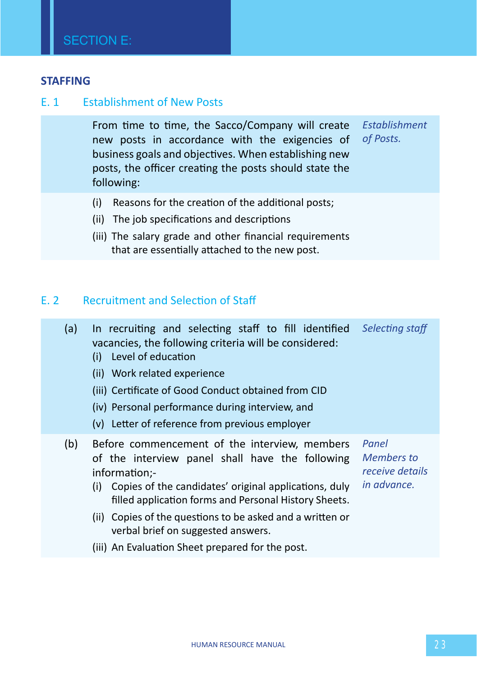#### **STAFFING**

#### E. 1 Establishment of New Posts

From time to time, the Sacco/Company will create *Establishment*  new posts in accordance with the exigencies of business goals and objectives. When establishing new posts, the officer creating the posts should state the following: *of Posts.*

- (i) Reasons for the creation of the additional posts;
- (ii) The job specifications and descriptions
- (iii) The salary grade and other financial requirements that are essentially attached to the new post.

### E. 2 Recruitment and Selection of Staff

| (a) | In recruiting and selecting staff to fill identified<br>vacancies, the following criteria will be considered:<br>Level of education<br>(i)<br>(ii) Work related experience<br>(iii) Certificate of Good Conduct obtained from CID<br>(iv) Personal performance during interview, and<br>(v) Letter of reference from previous employer                                                            | Selecting staff                                       |
|-----|---------------------------------------------------------------------------------------------------------------------------------------------------------------------------------------------------------------------------------------------------------------------------------------------------------------------------------------------------------------------------------------------------|-------------------------------------------------------|
| (b) | Before commencement of the interview, members<br>of the interview panel shall have the following<br>information:-<br>Copies of the candidates' original applications, duly<br>(i)<br>filled application forms and Personal History Sheets.<br>(ii) Copies of the questions to be asked and a written or<br>verbal brief on suggested answers.<br>(iii) An Evaluation Sheet prepared for the post. | Panel<br>Members to<br>receive details<br>in advance. |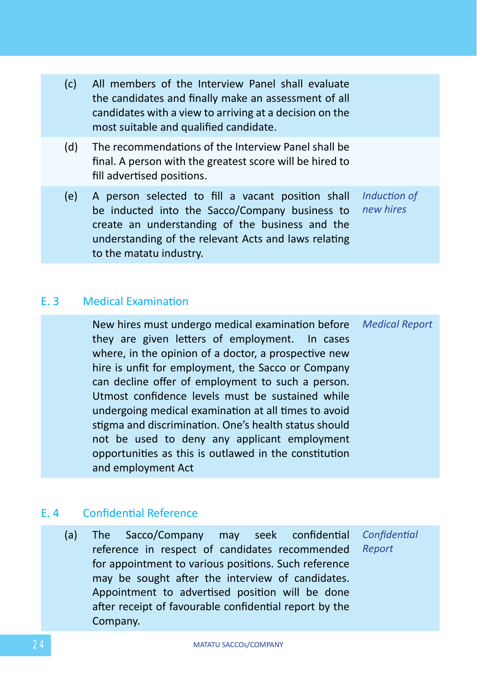| (c) | All members of the Interview Panel shall evaluate<br>the candidates and finally make an assessment of all<br>candidates with a view to arriving at a decision on the<br>most suitable and qualified candidate.                            |                           |
|-----|-------------------------------------------------------------------------------------------------------------------------------------------------------------------------------------------------------------------------------------------|---------------------------|
| (d) | The recommendations of the Interview Panel shall be<br>final. A person with the greatest score will be hired to<br>fill advertised positions.                                                                                             |                           |
| (e) | A person selected to fill a vacant position shall<br>be inducted into the Sacco/Company business to<br>create an understanding of the business and the<br>understanding of the relevant Acts and laws relating<br>to the matatu industry. | Induction of<br>new hires |

### E. 3 Medical Examination

New hires must undergo medical examination before they are given letters of employment. In cases where, in the opinion of a doctor, a prospective new hire is unfit for employment, the Sacco or Company can decline offer of employment to such a person. Utmost confidence levels must be sustained while undergoing medical examination at all times to avoid stigma and discrimination. One's health status should not be used to deny any applicant employment opportunities as this is outlawed in the constitution and employment Act *Medical Report*

# E. 4 Confidential Reference

(a) The Sacco/Company may seek confidential reference in respect of candidates recommended for appointment to various positions. Such reference may be sought after the interview of candidates. Appointment to advertised position will be done after receipt of favourable confidential report by the Company. *Confidential Report*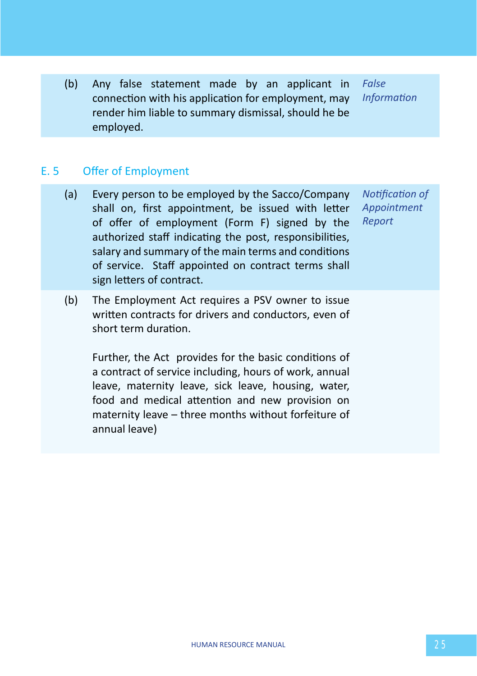(b) Any false statement made by an applicant in connection with his application for employment, may render him liable to summary dismissal, should he be employed.

*False Information*

### E. 5 Offer of Employment

- (a) Every person to be employed by the Sacco/Company shall on, first appointment, be issued with letter of offer of employment (Form F) signed by the authorized staff indicating the post, responsibilities, salary and summary of the main terms and conditions of service. Staff appointed on contract terms shall sign letters of contract. *Notification of Appointment Report*
- (b) The Employment Act requires a PSV owner to issue written contracts for drivers and conductors, even of short term duration.

Further, the Act provides for the basic conditions of a contract of service including, hours of work, annual leave, maternity leave, sick leave, housing, water, food and medical attention and new provision on maternity leave – three months without forfeiture of annual leave)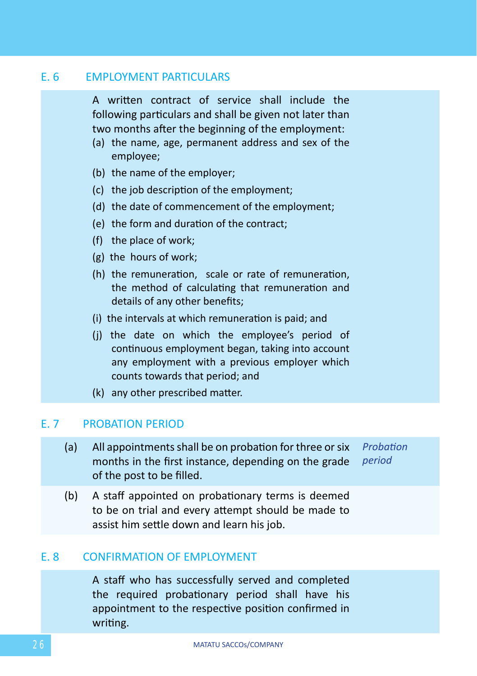#### **E. 6 EMPLOYMENT PARTICULARS**

A written contract of service shall include the following particulars and shall be given not later than two months after the beginning of the employment:

- (a) the name, age, permanent address and sex of the employee;
- (b) the name of the employer;
- (c) the job description of the employment;
- (d) the date of commencement of the employment;
- (e) the form and duration of the contract;
- (f) the place of work;
- (g) the hours of work;
- (h) the remuneration, scale or rate of remuneration, the method of calculating that remuneration and details of any other benefits;
- (i) the intervals at which remuneration is paid; and
- (j) the date on which the employee's period of continuous employment began, taking into account any employment with a previous employer which counts towards that period; and
- (k) any other prescribed matter.

#### E. 7 PROBATION PERIOD

- (a) All appointments shall be on probation for three or six months in the first instance, depending on the grade *period* of the post to be filled. *Probation*
- (b) A staff appointed on probationary terms is deemed to be on trial and every attempt should be made to assist him settle down and learn his job.

#### E. 8 CONFIRMATION OF EMPLOYMENT

A staff who has successfully served and completed the required probationary period shall have his appointment to the respective position confirmed in writing.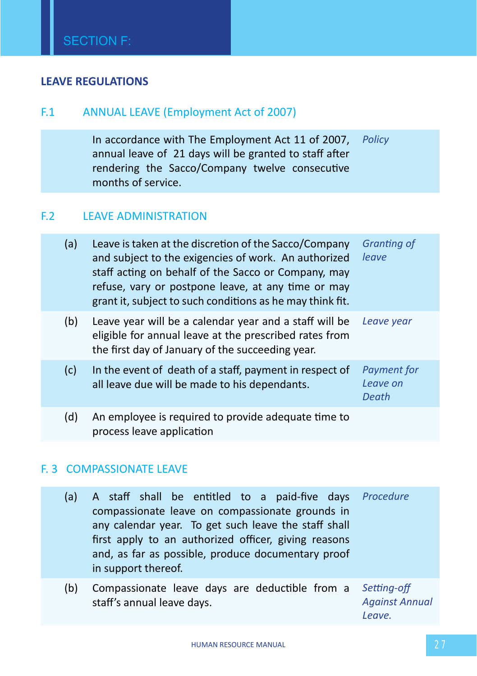### **LEAVE REGULATIONS**

# F.1 ANNUAL LEAVE (Employment Act of 2007)

In accordance with The Employment Act 11 of 2007, *Policy* annual leave of 21 days will be granted to staff after rendering the Sacco/Company twelve consecutive months of service.

### F.2 LEAVE ADMINISTRATION

| (a) | Leave is taken at the discretion of the Sacco/Company<br>and subject to the exigencies of work. An authorized<br>staff acting on behalf of the Sacco or Company, may<br>refuse, vary or postpone leave, at any time or may<br>grant it, subject to such conditions as he may think fit. | <b>Granting of</b><br>leave      |
|-----|-----------------------------------------------------------------------------------------------------------------------------------------------------------------------------------------------------------------------------------------------------------------------------------------|----------------------------------|
| (b) | Leave year will be a calendar year and a staff will be<br>eligible for annual leave at the prescribed rates from<br>the first day of January of the succeeding year.                                                                                                                    | Leave year                       |
| (c) | In the event of death of a staff, payment in respect of<br>all leave due will be made to his dependants.                                                                                                                                                                                | Payment for<br>Leave on<br>Death |
| (d) | An employee is required to provide adequate time to<br>process leave application                                                                                                                                                                                                        |                                  |

# F. 3 COMPASSIONATE LEAVE

| (a) | A staff shall be entitled to a paid-five days Procedure<br>compassionate leave on compassionate grounds in<br>any calendar year. To get such leave the staff shall<br>first apply to an authorized officer, giving reasons<br>and, as far as possible, produce documentary proof<br>in support thereof. |                                      |
|-----|---------------------------------------------------------------------------------------------------------------------------------------------------------------------------------------------------------------------------------------------------------------------------------------------------------|--------------------------------------|
| (b) | Compassionate leave days are deductible from a<br>staff's annual leave days.                                                                                                                                                                                                                            | Setting-off<br><b>Against Annual</b> |

*Against Annual Leave.*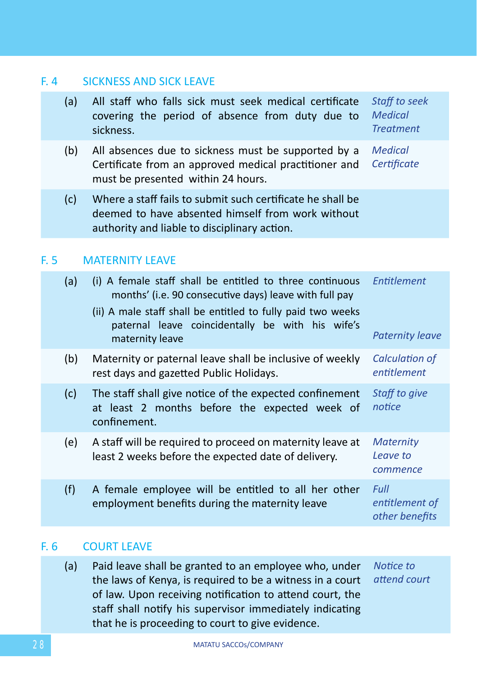### F. 4 SICKNESS AND SICK LEAVE

| (a) | All staff who falls sick must seek medical certificate Staff to seek<br>covering the period of absence from duty due to Medical<br>sickness. | <b>Treatment</b> |
|-----|----------------------------------------------------------------------------------------------------------------------------------------------|------------------|
|     |                                                                                                                                              |                  |

- (b) All absences due to sickness must be supported by a Certificate from an approved medical practitioner and must be presented within 24 hours. *Medical Certificate*
- (c) Where a staff fails to submit such certificate he shall be deemed to have absented himself from work without authority and liable to disciplinary action.

### F. 5 MATERNITY LEAVE

| (a) | (i) A female staff shall be entitled to three continuous<br>months' (i.e. 90 consecutive days) leave with full pay<br>(ii) A male staff shall be entitled to fully paid two weeks<br>paternal leave coincidentally be with his wife's<br>maternity leave | Entitlement<br><b>Paternity leave</b>    |
|-----|----------------------------------------------------------------------------------------------------------------------------------------------------------------------------------------------------------------------------------------------------------|------------------------------------------|
| (b) | Maternity or paternal leave shall be inclusive of weekly<br>rest days and gazetted Public Holidays.                                                                                                                                                      | Calculation of<br>entitlement            |
| (c) | The staff shall give notice of the expected confinement<br>at least 2 months before the expected week of<br>confinement.                                                                                                                                 | Staff to give<br>notice                  |
| (e) | A staff will be required to proceed on maternity leave at<br>least 2 weeks before the expected date of delivery.                                                                                                                                         | <b>Maternity</b><br>Leave to<br>commence |
| (f) | A female employee will be entitled to all her other<br>employment benefits during the maternity leave                                                                                                                                                    | Full<br>entitlement of<br>other benefits |

# F. 6 COURT LEAVE

(a) Paid leave shall be granted to an employee who, under the laws of Kenya, is required to be a witness in a court of law. Upon receiving notification to attend court, the staff shall notify his supervisor immediately indicating that he is proceeding to court to give evidence. *Notice to attend court*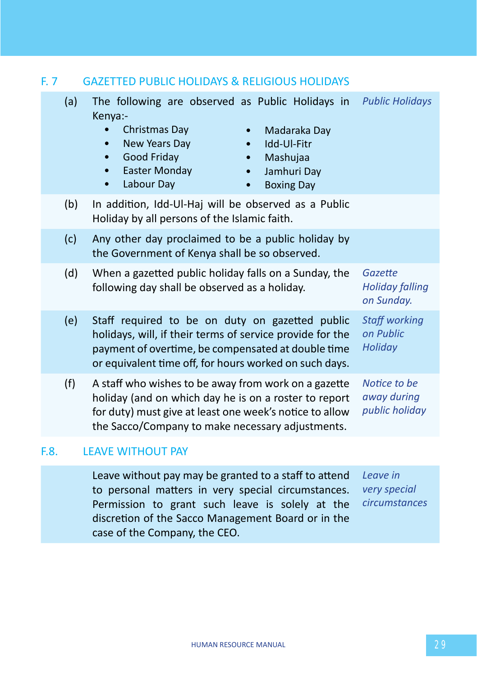| F. 7 |     | <b>GAZETTED PUBLIC HOLIDAYS &amp; RELIGIOUS HOLIDAYS</b>                                                                                                                                                                                                                              |                                                 |
|------|-----|---------------------------------------------------------------------------------------------------------------------------------------------------------------------------------------------------------------------------------------------------------------------------------------|-------------------------------------------------|
|      | (a) | The following are observed as Public Holidays in<br>Kenya:-<br>Christmas Day<br>Madaraka Day<br>$\bullet$<br>New Years Day<br>Idd-Ul-Fitr<br>Good Friday<br>Mashujaa<br>$\bullet$<br>$\bullet$<br><b>Easter Monday</b><br>Jamhuri Day<br>Labour Day<br><b>Boxing Day</b><br>$\bullet$ | <b>Public Holidays</b>                          |
|      | (b) | In addition, Idd-Ul-Haj will be observed as a Public<br>Holiday by all persons of the Islamic faith.                                                                                                                                                                                  |                                                 |
|      | (c) | Any other day proclaimed to be a public holiday by<br>the Government of Kenya shall be so observed.                                                                                                                                                                                   |                                                 |
|      | (d) | When a gazetted public holiday falls on a Sunday, the<br>following day shall be observed as a holiday.                                                                                                                                                                                | Gazette<br><b>Holiday falling</b><br>on Sunday. |
|      | (e) | Staff required to be on duty on gazetted public<br>holidays, will, if their terms of service provide for the<br>payment of overtime, be compensated at double time<br>or equivalent time off, for hours worked on such days.                                                          | <b>Staff working</b><br>on Public<br>Holiday    |
|      | (f) | A staff who wishes to be away from work on a gazette<br>holiday (and on which day he is on a roster to report<br>for duty) must give at least one week's notice to allow<br>the Sacco/Company to make necessary adjustments.                                                          | Notice to be<br>away during<br>public holiday   |
| F.8. |     | <b>LEAVE WITHOUT PAY</b>                                                                                                                                                                                                                                                              |                                                 |

Leave without pay may be granted to a staff to attend *Leave in*  to personal matters in very special circumstances. Permission to grant such leave is solely at the discretion of the Sacco Management Board or in the case of the Company, the CEO. *very special circumstances*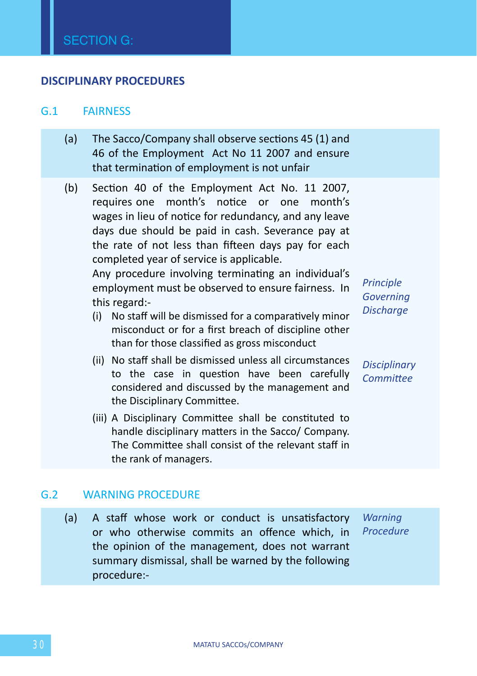#### **DISCIPLINARY PROCEDURES**

#### G.1 FAIRNESS

- (a) The Sacco/Company shall observe sections 45 (1) and 46 of the Employment Act No 11 2007 and ensure that termination of employment is not unfair
- (b) Section 40 of the Employment Act No. 11 2007, requires one month's notice or one month's wages in lieu of notice for redundancy, and any leave days due should be paid in cash. Severance pay at the rate of not less than fifteen days pay for each completed year of service is applicable.

Any procedure involving terminating an individual's employment must be observed to ensure fairness. In this regard:-

- (i) No staff will be dismissed for a comparatively minor misconduct or for a first breach of discipline other than for those classified as gross misconduct
- (ii) No staff shall be dismissed unless all circumstances to the case in question have been carefully considered and discussed by the management and the Disciplinary Committee.
- (iii) A Disciplinary Committee shall be constituted to handle disciplinary matters in the Sacco/ Company. The Committee shall consist of the relevant staff in the rank of managers.

*Principle Governing Discharge*

*Disciplinary Committee*

#### G.2 WARNING PROCEDURE

(a) A staff whose work or conduct is unsatisfactory or who otherwise commits an offence which, in the opinion of the management, does not warrant summary dismissal, shall be warned by the following procedure:- *Warning Procedure*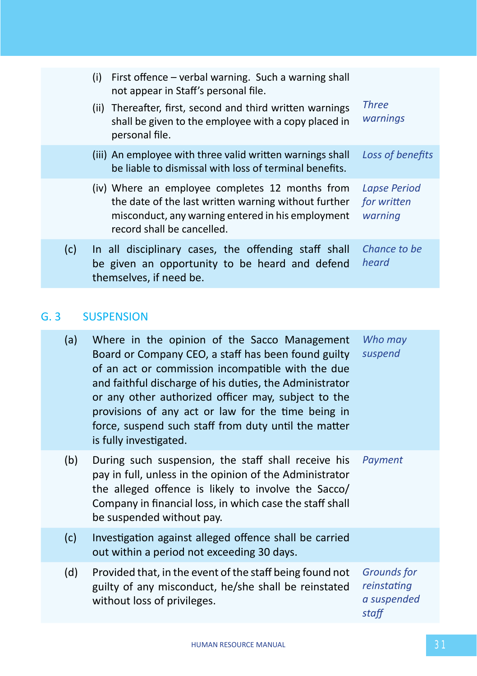|     | (i) | First offence – verbal warning. Such a warning shall<br>not appear in Staff's personal file.                                                                                               |                                        |
|-----|-----|--------------------------------------------------------------------------------------------------------------------------------------------------------------------------------------------|----------------------------------------|
|     |     | (ii) Thereafter, first, second and third written warnings<br>shall be given to the employee with a copy placed in<br>personal file.                                                        | Three<br>warnings                      |
|     |     | (iii) An employee with three valid written warnings shall<br>be liable to dismissal with loss of terminal benefits.                                                                        | Loss of benefits                       |
|     |     | (iv) Where an employee completes 12 months from<br>the date of the last written warning without further<br>misconduct, any warning entered in his employment<br>record shall be cancelled. | Lapse Period<br>for written<br>warning |
| (c) |     | In all disciplinary cases, the offending staff shall<br>be given an opportunity to be heard and defend<br>themselves, if need be.                                                          | Chance to be<br>heard                  |

# G. 3 SUSPENSION

| (a) | Where in the opinion of the Sacco Management<br>Board or Company CEO, a staff has been found guilty<br>of an act or commission incompatible with the due<br>and faithful discharge of his duties, the Administrator<br>or any other authorized officer may, subject to the<br>provisions of any act or law for the time being in<br>force, suspend such staff from duty until the matter<br>is fully investigated. | Who may<br>suspend                                 |
|-----|--------------------------------------------------------------------------------------------------------------------------------------------------------------------------------------------------------------------------------------------------------------------------------------------------------------------------------------------------------------------------------------------------------------------|----------------------------------------------------|
| (b) | During such suspension, the staff shall receive his<br>pay in full, unless in the opinion of the Administrator<br>the alleged offence is likely to involve the Sacco/<br>Company in financial loss, in which case the staff shall<br>be suspended without pay.                                                                                                                                                     | Payment                                            |
| (c) | Investigation against alleged offence shall be carried<br>out within a period not exceeding 30 days.                                                                                                                                                                                                                                                                                                               |                                                    |
| (d) | Provided that, in the event of the staff being found not<br>guilty of any misconduct, he/she shall be reinstated<br>without loss of privileges.                                                                                                                                                                                                                                                                    | Grounds for<br>reinstating<br>a suspended<br>staff |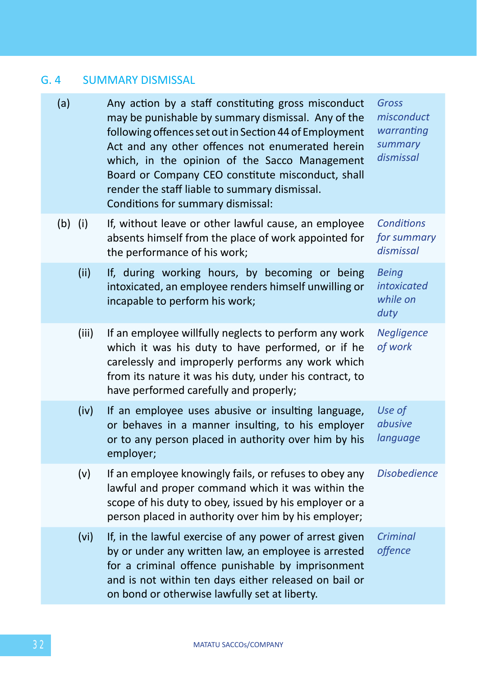# G. 4 SUMMARY DISMISSAL

| (a)       | Any action by a staff constituting gross misconduct<br>may be punishable by summary dismissal. Any of the<br>following offences set out in Section 44 of Employment<br>Act and any other offences not enumerated herein<br>which, in the opinion of the Sacco Management<br>Board or Company CEO constitute misconduct, shall<br>render the staff liable to summary dismissal.<br>Conditions for summary dismissal: | Gross<br>misconduct<br>warranting<br>summary<br>dismissal |
|-----------|---------------------------------------------------------------------------------------------------------------------------------------------------------------------------------------------------------------------------------------------------------------------------------------------------------------------------------------------------------------------------------------------------------------------|-----------------------------------------------------------|
| $(b)$ (i) | If, without leave or other lawful cause, an employee<br>absents himself from the place of work appointed for<br>the performance of his work;                                                                                                                                                                                                                                                                        | <b>Conditions</b><br>for summary<br>dismissal             |
| (ii)      | If, during working hours, by becoming or being<br>intoxicated, an employee renders himself unwilling or<br>incapable to perform his work;                                                                                                                                                                                                                                                                           | <b>Being</b><br><i>intoxicated</i><br>while on<br>duty    |
| (iii)     | If an employee willfully neglects to perform any work<br>which it was his duty to have performed, or if he<br>carelessly and improperly performs any work which<br>from its nature it was his duty, under his contract, to<br>have performed carefully and properly;                                                                                                                                                | Negligence<br>of work                                     |
| (iv)      | If an employee uses abusive or insulting language,<br>or behaves in a manner insulting, to his employer<br>or to any person placed in authority over him by his<br>employer;                                                                                                                                                                                                                                        | Use of<br>abusive<br>language                             |
| (v)       | If an employee knowingly fails, or refuses to obey any<br>lawful and proper command which it was within the<br>scope of his duty to obey, issued by his employer or a<br>person placed in authority over him by his employer;                                                                                                                                                                                       | <b>Disobedience</b>                                       |
| (vi)      | If, in the lawful exercise of any power of arrest given<br>by or under any written law, an employee is arrested<br>for a criminal offence punishable by imprisonment<br>and is not within ten days either released on bail or<br>on bond or otherwise lawfully set at liberty.                                                                                                                                      | Criminal<br>offence                                       |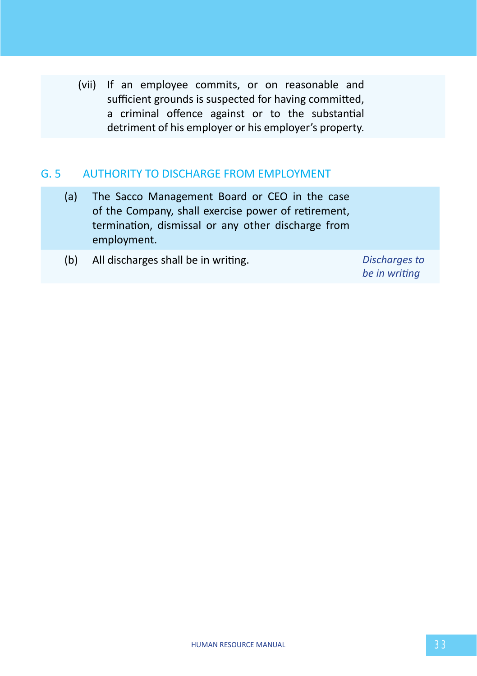(vii) If an employee commits, or on reasonable and sufficient grounds is suspected for having committed, a criminal offence against or to the substantial detriment of his employer or his employer's property.

### G. 5 AUTHORITY TO DISCHARGE FROM EMPLOYMENT

- (a) The Sacco Management Board or CEO in the case of the Company, shall exercise power of retirement, termination, dismissal or any other discharge from employment.
- (b) All discharges shall be in writing. *Discharges to*

*be in writing*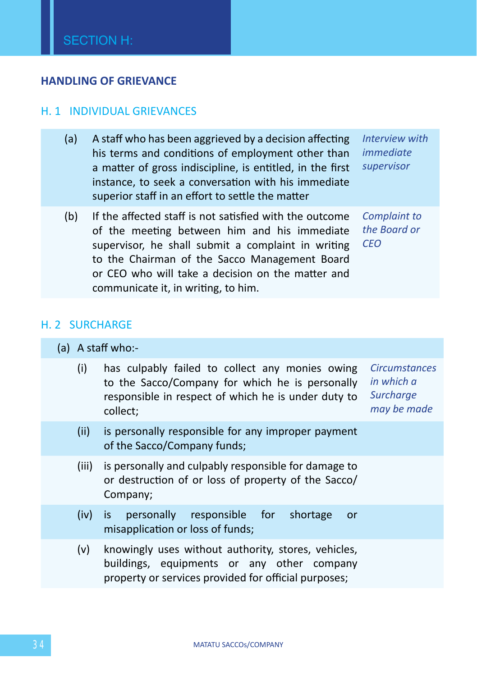### **HANDLING OF GRIEVANCE**

#### H. 1 INDIVIDUAL GRIEVANCES

- (a) A staff who has been aggrieved by a decision affecting his terms and conditions of employment other than a matter of gross indiscipline, is entitled, in the first instance, to seek a conversation with his immediate superior staff in an effort to settle the matter *Interview with immediate supervisor*
- (b) If the affected staff is not satisfied with the outcome of the meeting between him and his immediate supervisor, he shall submit a complaint in writing to the Chairman of the Sacco Management Board or CEO who will take a decision on the matter and communicate it, in writing, to him. *Complaint to the Board or CEO*

#### H. 2 SURCHARGE

#### (a) A staff who:-

- (i) has culpably failed to collect any monies owing to the Sacco/Company for which he is personally responsible in respect of which he is under duty to collect; *Circumstances in which a Surcharge may be made*
- (ii) is personally responsible for any improper payment of the Sacco/Company funds;
- (iii) is personally and culpably responsible for damage to or destruction of or loss of property of the Sacco/ Company;
- (iv) is personally responsible for shortage or misapplication or loss of funds;
- (v) knowingly uses without authority, stores, vehicles, buildings, equipments or any other company property or services provided for official purposes;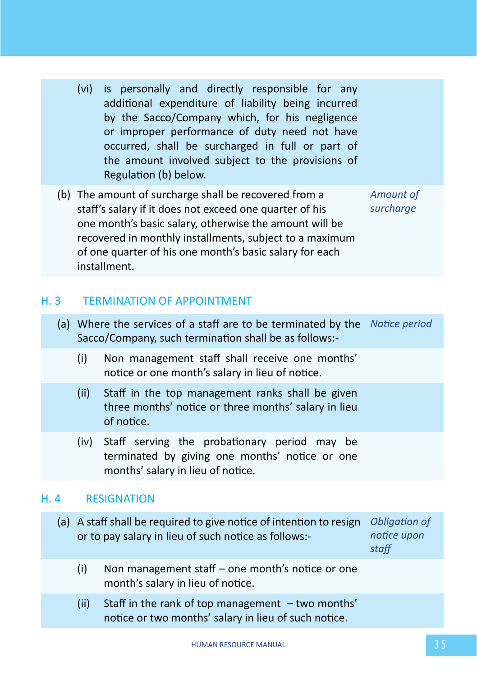- (vi) is personally and directly responsible for any additional expenditure of liability being incurred by the Sacco/Company which, for his negligence or improper performance of duty need not have occurred, shall be surcharged in full or part of the amount involved subject to the provisions of Regulation (b) below.
- (b) The amount of surcharge shall be recovered from a staff's salary if it does not exceed one quarter of his one month's basic salary, otherwise the amount will be recovered in monthly installments, subject to a maximum of one quarter of his one month's basic salary for each installment. *Amount of*

*surcharge*

# H. 3 TERMINATION OF APPOINTMENT

- (a) Where the services of a staff are to be terminated by the *Notice period* Sacco/Company, such termination shall be as follows:-
	- (i) Non management staff shall receive one months' notice or one month's salary in lieu of notice.
	- (ii) Staff in the top management ranks shall be given three months' notice or three months' salary in lieu of notice.
	- (iv) Staff serving the probationary period may be terminated by giving one months' notice or one months' salary in lieu of notice.

### H. 4 RESIGNATION

- (a) A staff shall be required to give notice of intention to resign *Obligation of*  or to pay salary in lieu of such notice as follows: *notice upon staff*
	- (i) Non management staff one month's notice or one month's salary in lieu of notice.
	- (ii) Staff in the rank of top management two months' notice or two months' salary in lieu of such notice.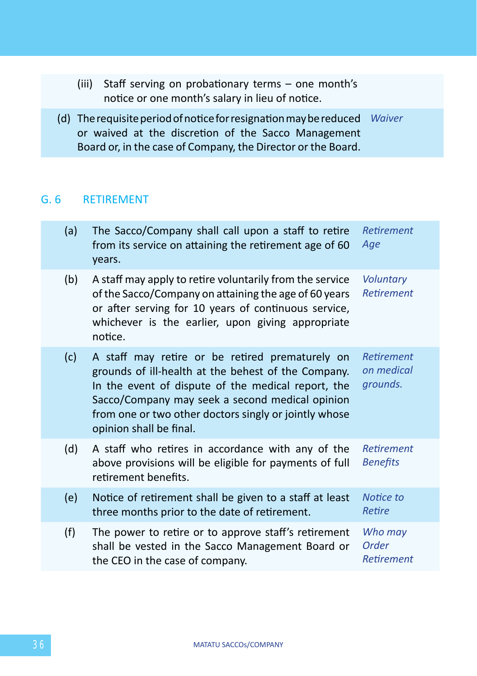(iii) Staff serving on probationary terms – one month's notice or one month's salary in lieu of notice. (d) The requisite period of notice for resignation may be reduced or waived at the discretion of the Sacco Management Board or, in the case of Company, the Director or the Board. *Waiver*

### G. 6 RETIREMENT

| (a) | The Sacco/Company shall call upon a staff to retire<br>from its service on attaining the retirement age of 60<br>years.                                                                                                                                                                             | <b>Retirement</b><br>Age                    |
|-----|-----------------------------------------------------------------------------------------------------------------------------------------------------------------------------------------------------------------------------------------------------------------------------------------------------|---------------------------------------------|
| (b) | A staff may apply to retire voluntarily from the service<br>of the Sacco/Company on attaining the age of 60 years<br>or after serving for 10 years of continuous service,<br>whichever is the earlier, upon giving appropriate<br>notice.                                                           | <b>Voluntary</b><br><b>Retirement</b>       |
| (c) | A staff may retire or be retired prematurely on<br>grounds of ill-health at the behest of the Company.<br>In the event of dispute of the medical report, the<br>Sacco/Company may seek a second medical opinion<br>from one or two other doctors singly or jointly whose<br>opinion shall be final. | <b>Retirement</b><br>on medical<br>grounds. |
| (d) | A staff who retires in accordance with any of the<br>above provisions will be eligible for payments of full<br>retirement benefits.                                                                                                                                                                 | <b>Retirement</b><br><b>Benefits</b>        |
| (e) | Notice of retirement shall be given to a staff at least<br>three months prior to the date of retirement.                                                                                                                                                                                            | Notice to<br>Retire                         |
| (f) | The power to retire or to approve staff's retirement<br>shall be vested in the Sacco Management Board or<br>the CEO in the case of company.                                                                                                                                                         | Who may<br>Order<br><b>Retirement</b>       |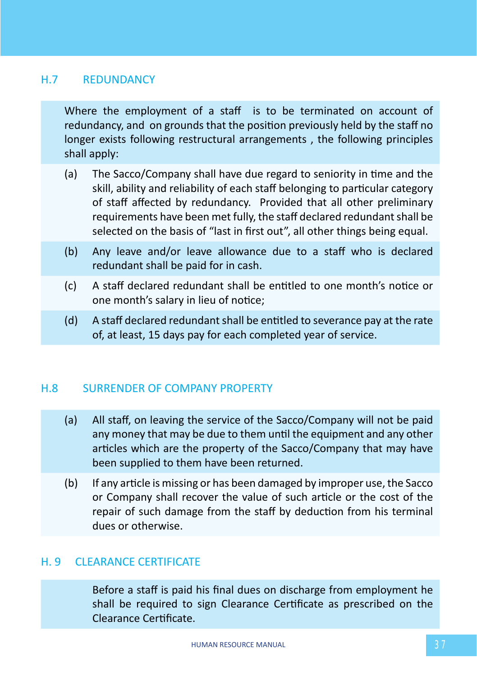# H.7 REDUNDANCY

Where the employment of a staff is to be terminated on account of redundancy, and on grounds that the position previously held by the staff no longer exists following restructural arrangements , the following principles shall apply:

- (a) The Sacco/Company shall have due regard to seniority in time and the skill, ability and reliability of each staff belonging to particular category of staff affected by redundancy. Provided that all other preliminary requirements have been met fully, the staff declared redundant shall be selected on the basis of "last in first out", all other things being equal.
- (b) Any leave and/or leave allowance due to a staff who is declared redundant shall be paid for in cash.
- (c) A staff declared redundant shall be entitled to one month's notice or one month's salary in lieu of notice;
- (d) A staff declared redundant shall be entitled to severance pay at the rate of, at least, 15 days pay for each completed year of service.

# H.8 SURRENDER OF COMPANY PROPERTY

- (a) All staff, on leaving the service of the Sacco/Company will not be paid any money that may be due to them until the equipment and any other articles which are the property of the Sacco/Company that may have been supplied to them have been returned.
- (b) If any article is missing or has been damaged by improper use, the Sacco or Company shall recover the value of such article or the cost of the repair of such damage from the staff by deduction from his terminal dues or otherwise.

### H. 9 CLEARANCE CERTIFICATE

Before a staff is paid his final dues on discharge from employment he shall be required to sign Clearance Certificate as prescribed on the Clearance Certificate.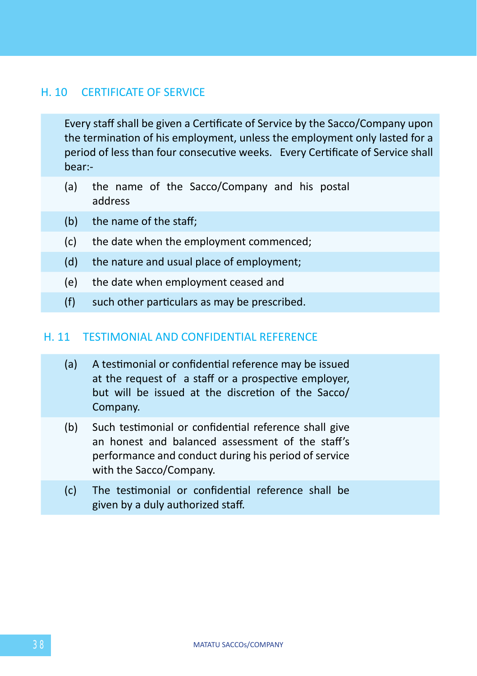### H. 10 CERTIFICATE OF SERVICE

Every staff shall be given a Certificate of Service by the Sacco/Company upon the termination of his employment, unless the employment only lasted for a period of less than four consecutive weeks. Every Certificate of Service shall bear:-

- (a) the name of the Sacco/Company and his postal address
- (b) the name of the staff;
- (c) the date when the employment commenced;
- (d) the nature and usual place of employment;
- (e) the date when employment ceased and
- (f) such other particulars as may be prescribed.

#### H. 11 TESTIMONIAL AND CONFIDENTIAL REFERENCE

- (a) A testimonial or confidential reference may be issued at the request of a staff or a prospective employer, but will be issued at the discretion of the Sacco/ Company.
- (b) Such testimonial or confidential reference shall give an honest and balanced assessment of the staff's performance and conduct during his period of service with the Sacco/Company.
- (c) The testimonial or confidential reference shall be given by a duly authorized staff.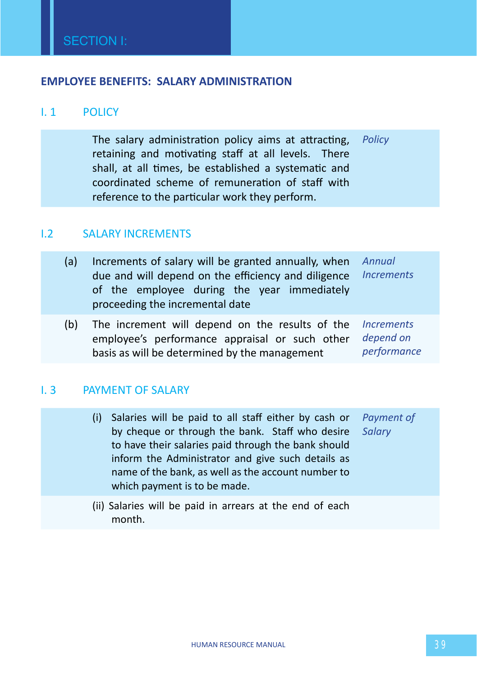### **EMPLOYEE BENEFITS: SALARY ADMINISTRATION**

# I. 1 POLICY

The salary administration policy aims at attracting, *Policy* retaining and motivating staff at all levels. There shall, at all times, be established a systematic and coordinated scheme of remuneration of staff with reference to the particular work they perform.

#### I.2 SALARY INCREMENTS

| (a) | Increments of salary will be granted annually, when<br>due and will depend on the efficiency and diligence<br>of the employee during the year immediately<br>proceeding the incremental date | Annual<br><b>Increments</b>                                 |
|-----|----------------------------------------------------------------------------------------------------------------------------------------------------------------------------------------------|-------------------------------------------------------------|
| (b) | The increment will depend on the results of the<br>employee's performance appraisal or such other<br>basis as will be determined by the management                                           | <i><u><b>Increments</b></u></i><br>depend on<br>performance |

### I. 3 PAYMENT OF SALARY

| (i) Salaries will be paid to all staff either by cash or Payment of |  |
|---------------------------------------------------------------------|--|
| by cheque or through the bank. Staff who desire Salary              |  |
| to have their salaries paid through the bank should                 |  |
| inform the Administrator and give such details as                   |  |
| name of the bank, as well as the account number to                  |  |
| which payment is to be made.                                        |  |
|                                                                     |  |

(ii) Salaries will be paid in arrears at the end of each month.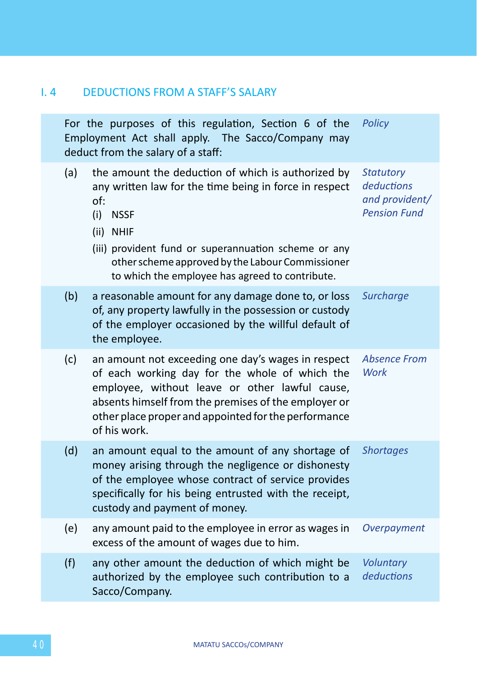# I. 4 DEDUCTIONS FROM A STAFF'S SALARY

| For the purposes of this regulation, Section 6 of the<br>Employment Act shall apply. The Sacco/Company may<br>deduct from the salary of a staff: |                                                                                                                                                                                                                                                                                                                       | Policy                                                                  |
|--------------------------------------------------------------------------------------------------------------------------------------------------|-----------------------------------------------------------------------------------------------------------------------------------------------------------------------------------------------------------------------------------------------------------------------------------------------------------------------|-------------------------------------------------------------------------|
| (a)                                                                                                                                              | the amount the deduction of which is authorized by<br>any written law for the time being in force in respect<br>of:<br>(i)<br><b>NSSF</b><br>(ii) NHIF<br>(iii) provident fund or superannuation scheme or any<br>other scheme approved by the Labour Commissioner<br>to which the employee has agreed to contribute. | <b>Statutory</b><br>deductions<br>and provident/<br><b>Pension Fund</b> |
| (b)                                                                                                                                              | a reasonable amount for any damage done to, or loss<br>of, any property lawfully in the possession or custody<br>of the employer occasioned by the willful default of<br>the employee.                                                                                                                                | <b>Surcharge</b>                                                        |
| (c)                                                                                                                                              | an amount not exceeding one day's wages in respect<br>of each working day for the whole of which the<br>employee, without leave or other lawful cause,<br>absents himself from the premises of the employer or<br>other place proper and appointed for the performance<br>of his work.                                | <b>Absence From</b><br>Work                                             |
| (d)                                                                                                                                              | an amount equal to the amount of any shortage of<br>money arising through the negligence or dishonesty<br>of the employee whose contract of service provides<br>specifically for his being entrusted with the receipt,<br>custody and payment of money.                                                               | <b>Shortages</b>                                                        |
| (e)                                                                                                                                              | any amount paid to the employee in error as wages in<br>excess of the amount of wages due to him.                                                                                                                                                                                                                     | Overpayment                                                             |
| (f)                                                                                                                                              | any other amount the deduction of which might be<br>authorized by the employee such contribution to a<br>Sacco/Company.                                                                                                                                                                                               | Voluntary<br>deductions                                                 |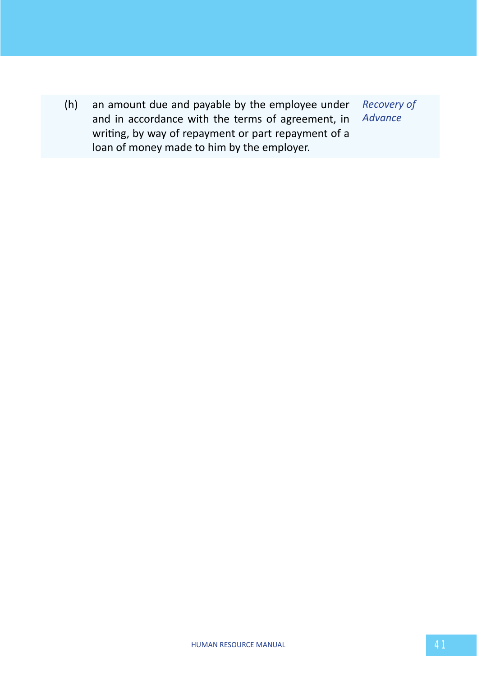(h) an amount due and payable by the employee under and in accordance with the terms of agreement, in writing, by way of repayment or part repayment of a loan of money made to him by the employer. *Recovery of Advance*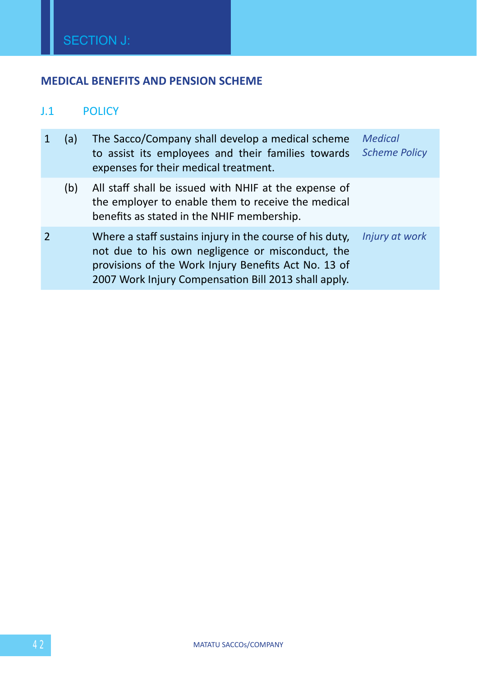# **MEDICAL BENEFITS AND PENSION SCHEME**

# J.1 POLICY

|                | (a) | The Sacco/Company shall develop a medical scheme<br>to assist its employees and their families towards<br>expenses for their medical treatment.                                                                              | <b>Medical</b><br><b>Scheme Policy</b> |
|----------------|-----|------------------------------------------------------------------------------------------------------------------------------------------------------------------------------------------------------------------------------|----------------------------------------|
|                | (b) | All staff shall be issued with NHIF at the expense of<br>the employer to enable them to receive the medical<br>benefits as stated in the NHIF membership.                                                                    |                                        |
| $\overline{2}$ |     | Where a staff sustains injury in the course of his duty,<br>not due to his own negligence or misconduct, the<br>provisions of the Work Injury Benefits Act No. 13 of<br>2007 Work Injury Compensation Bill 2013 shall apply. | Injury at work                         |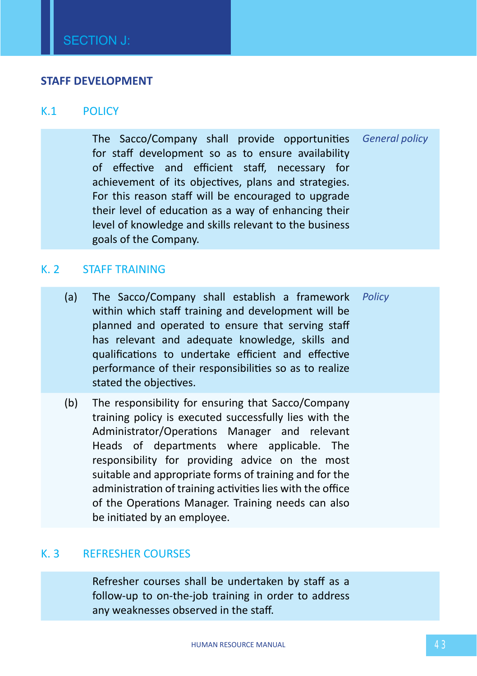#### **STAFF DEVELOPMENT**

#### K.1 POLICY

The Sacco/Company shall provide opportunities for staff development so as to ensure availability of effective and efficient staff, necessary for achievement of its objectives, plans and strategies. For this reason staff will be encouraged to upgrade their level of education as a way of enhancing their level of knowledge and skills relevant to the business goals of the Company. *General policy*

### K. 2 STAFF TRAINING

- (a) The Sacco/Company shall establish a framework within which staff training and development will be planned and operated to ensure that serving staff has relevant and adequate knowledge, skills and qualifications to undertake efficient and effective performance of their responsibilities so as to realize stated the objectives. *Policy*
- (b) The responsibility for ensuring that Sacco/Company training policy is executed successfully lies with the Administrator/Operations Manager and relevant Heads of departments where applicable. The responsibility for providing advice on the most suitable and appropriate forms of training and for the administration of training activities lies with the office of the Operations Manager. Training needs can also be initiated by an employee.

#### K. 3 REFRESHER COURSES

Refresher courses shall be undertaken by staff as a follow-up to on-the-job training in order to address any weaknesses observed in the staff.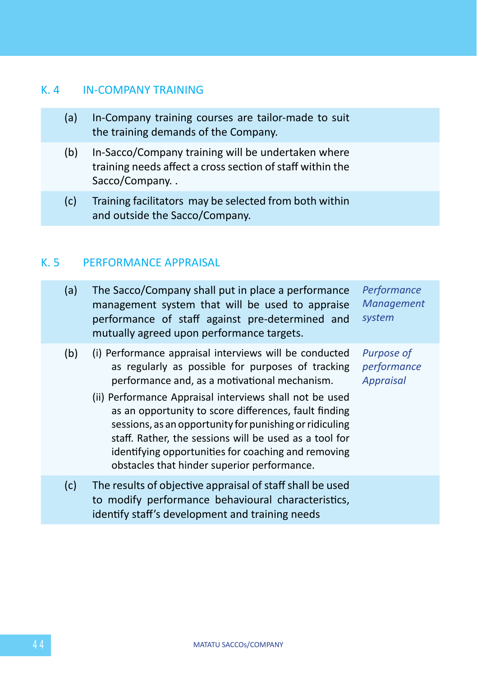# K. 4 IN-COMPANY TRAINING

- (a) In-Company training courses are tailor-made to suit the training demands of the Company.
- (b) In-Sacco/Company training will be undertaken where training needs affect a cross section of staff within the Sacco/Company. .
- (c) Training facilitators may be selected from both within and outside the Sacco/Company.

# K. 5 PERFORMANCE APPRAISAL

| (a) | The Sacco/Company shall put in place a performance<br>management system that will be used to appraise<br>performance of staff against pre-determined and<br>mutually agreed upon performance targets.                                                                                                                                                                                                                                                        | Performance<br>Management<br>system           |
|-----|--------------------------------------------------------------------------------------------------------------------------------------------------------------------------------------------------------------------------------------------------------------------------------------------------------------------------------------------------------------------------------------------------------------------------------------------------------------|-----------------------------------------------|
| (b) | (i) Performance appraisal interviews will be conducted<br>as regularly as possible for purposes of tracking<br>performance and, as a motivational mechanism.<br>(ii) Performance Appraisal interviews shall not be used<br>as an opportunity to score differences, fault finding<br>sessions, as an opportunity for punishing or ridiculing<br>staff. Rather, the sessions will be used as a tool for<br>identifying opportunities for coaching and removing | Purpose of<br>performance<br><b>Appraisal</b> |
|     | obstacles that hinder superior performance.                                                                                                                                                                                                                                                                                                                                                                                                                  |                                               |
| (c) | The results of objective appraisal of staff shall be used<br>to modify performance behavioural characteristics,<br>identify staff's development and training needs                                                                                                                                                                                                                                                                                           |                                               |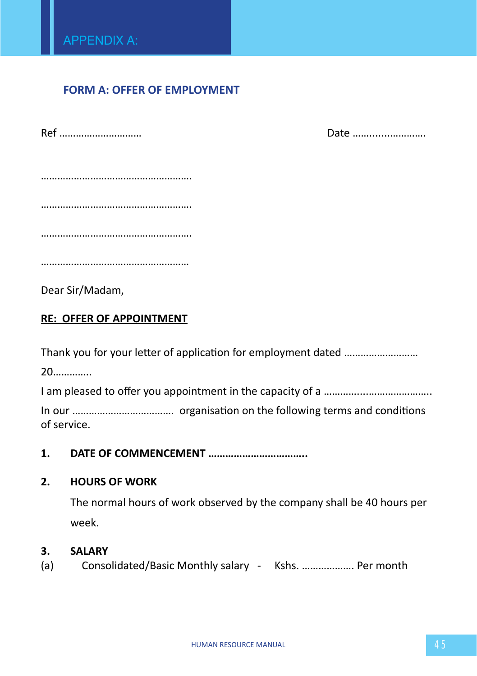# **FORM A: OFFER OF EMPLOYMENT**

| Ref | Date |
|-----|------|
|     |      |
|     |      |
|     |      |
|     |      |
|     |      |
|     |      |
|     |      |

Dear Sir/Madam,

# **RE: OFFER OF APPOINTMENT**

Thank you for your letter of application for employment dated ………………………

20…………..

I am pleased to offer you appointment in the capacity of a ………………………………………………………

In our ………………………………. organisation on the following terms and conditions of service.

**1. DATE OF COMMENCEMENT ……………………………..**

### **2. HOURS OF WORK**

The normal hours of work observed by the company shall be 40 hours per week.

### **3. SALARY**

(a) Consolidated/Basic Monthly salary - Kshs. ………………. Per month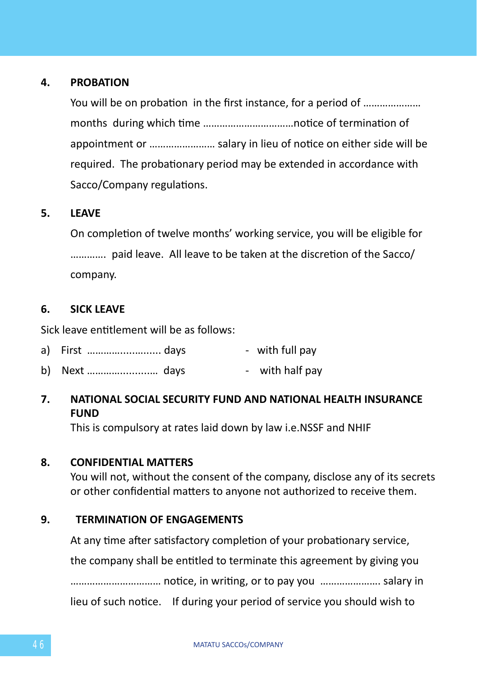# **4. PROBATION**

You will be on probation in the first instance, for a period of ………………… months during which time ……………………………notice of termination of appointment or …………………… salary in lieu of notice on either side will be required. The probationary period may be extended in accordance with Sacco/Company regulations.

### **5. LEAVE**

On completion of twelve months' working service, you will be eligible for …………. paid leave. All leave to be taken at the discretion of the Sacco/ company.

### **6. SICK LEAVE**

Sick leave entitlement will be as follows:

- a) First ………………………… days with full pay
- b) Next  $\ldots$   $\ldots$   $\ldots$   $\ldots$   $\ldots$  days  $\ldots$  with half pay
- **7. NATIONAL SOCIAL SECURITY FUND AND NATIONAL HEALTH INSURANCE FUND**

This is compulsory at rates laid down by law i.e.NSSF and NHIF

### **8. CONFIDENTIAL MATTERS**

You will not, without the consent of the company, disclose any of its secrets or other confidential matters to anyone not authorized to receive them.

### **9. TERMINATION OF ENGAGEMENTS**

At any time after satisfactory completion of your probationary service, the company shall be entitled to terminate this agreement by giving you …………………………… notice, in writing, or to pay you …………………. salary in lieu of such notice. If during your period of service you should wish to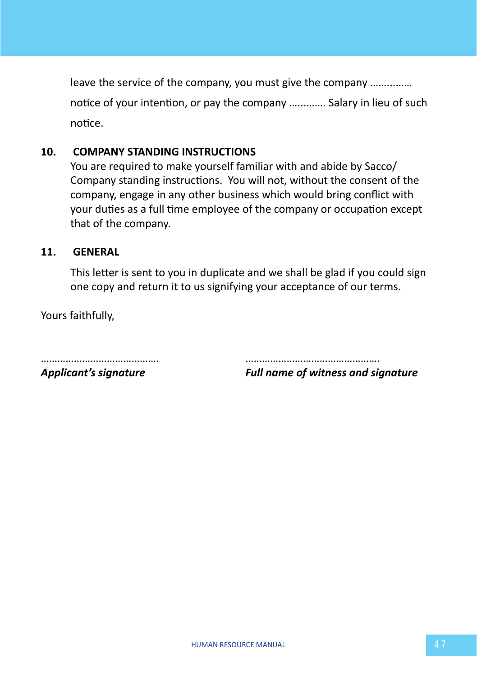leave the service of the company, you must give the company ……...…… notice of your intention, or pay the company …...……. Salary in lieu of such notice.

### **10. COMPANY STANDING INSTRUCTIONS**

You are required to make yourself familiar with and abide by Sacco/ Company standing instructions. You will not, without the consent of the company, engage in any other business which would bring conflict with your duties as a full time employee of the company or occupation except that of the company.

### **11. GENERAL**

This letter is sent to you in duplicate and we shall be glad if you could sign one copy and return it to us signifying your acceptance of our terms.

Yours faithfully,

……………………………………. ………………………………………….

*Applicant's signature Full name of witness and signature*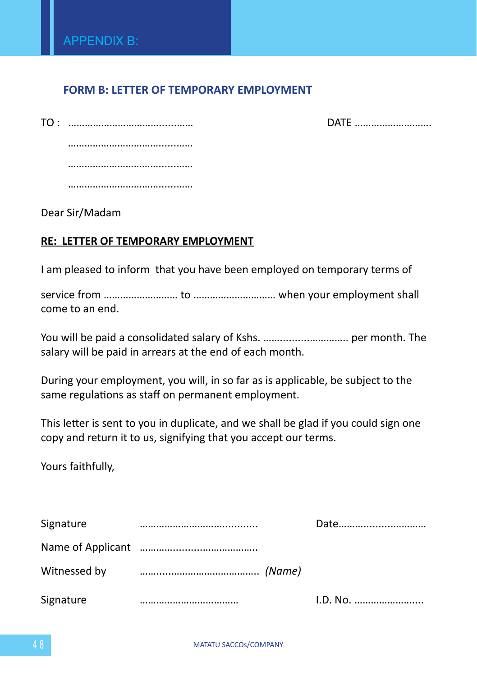# **FORM B: LETTER OF TEMPORARY EMPLOYMENT**

DATE ………………………

Dear Sir/Madam

# **RE: LETTER OF TEMPORARY EMPLOYMENT**

I am pleased to inform that you have been employed on temporary terms of

service from ……………………… to ………………………… when your employment shall come to an end.

You will be paid a consolidated salary of Kshs. ……..........………….. per month. The salary will be paid in arrears at the end of each month.

During your employment, you will, in so far as is applicable, be subject to the same regulations as staff on permanent employment.

This letter is sent to you in duplicate, and we shall be glad if you could sign one copy and return it to us, signifying that you accept our terms.

Yours faithfully,

| Signature | Date     |
|-----------|----------|
|           |          |
|           |          |
| Signature | I.D. No. |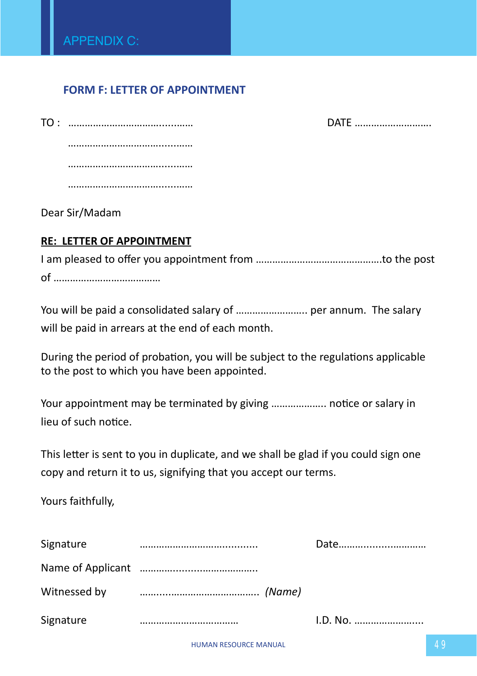# **FORM F: LETTER OF APPOINTMENT**

DATE ………………………

……………………………………… ……………………………......…… ………………………………………

Dear Sir/Madam

# **RE: LETTER OF APPOINTMENT**

I am pleased to offer you appointment from ……………………………………….to the post of …………………………………

You will be paid a consolidated salary of ............................... per annum. The salary will be paid in arrears at the end of each month.

During the period of probation, you will be subject to the regulations applicable to the post to which you have been appointed.

Your appointment may be terminated by giving ……………….. notice or salary in lieu of such notice.

This letter is sent to you in duplicate, and we shall be glad if you could sign one copy and return it to us, signifying that you accept our terms.

Yours faithfully,

| Signature    |  |
|--------------|--|
|              |  |
| Witnessed by |  |
| Signature    |  |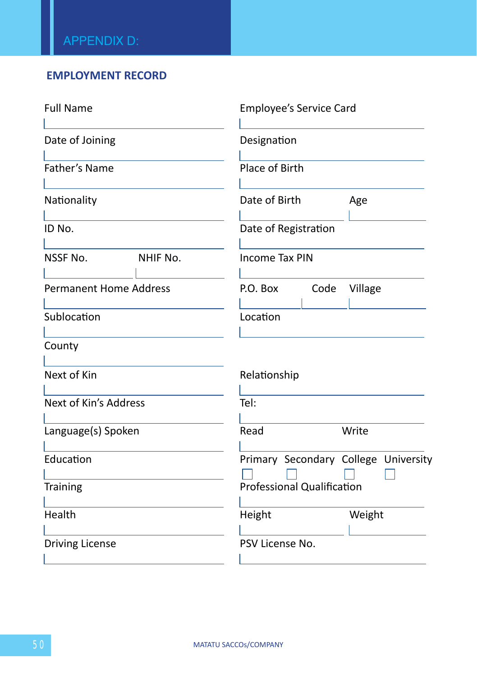# **EMPLOYMENT RECORD**

| <b>Full Name</b>              |          |                                      | Employee's Service Card |         |  |  |
|-------------------------------|----------|--------------------------------------|-------------------------|---------|--|--|
| Date of Joining               |          |                                      | Designation             |         |  |  |
| Father's Name                 |          |                                      | Place of Birth          |         |  |  |
| Nationality                   |          |                                      | Date of Birth           |         |  |  |
| ID No.                        |          | Date of Registration                 |                         |         |  |  |
| NSSF No.                      | NHIF No. |                                      | <b>Income Tax PIN</b>   |         |  |  |
| <b>Permanent Home Address</b> |          | P.O. Box                             | Code                    | Village |  |  |
| Sublocation                   |          | Location                             |                         |         |  |  |
| County                        |          |                                      |                         |         |  |  |
| Next of Kin                   |          |                                      | Relationship            |         |  |  |
| Next of Kin's Address         |          | Tel:                                 |                         |         |  |  |
| Language(s) Spoken            |          | Read                                 |                         | Write   |  |  |
| Education                     |          | Primary Secondary College University |                         |         |  |  |
| Training                      |          | Professional Qualification           |                         |         |  |  |
| Health                        |          | Height                               |                         | Weight  |  |  |
| <b>Driving License</b>        |          |                                      | PSV License No.         |         |  |  |
|                               |          |                                      |                         |         |  |  |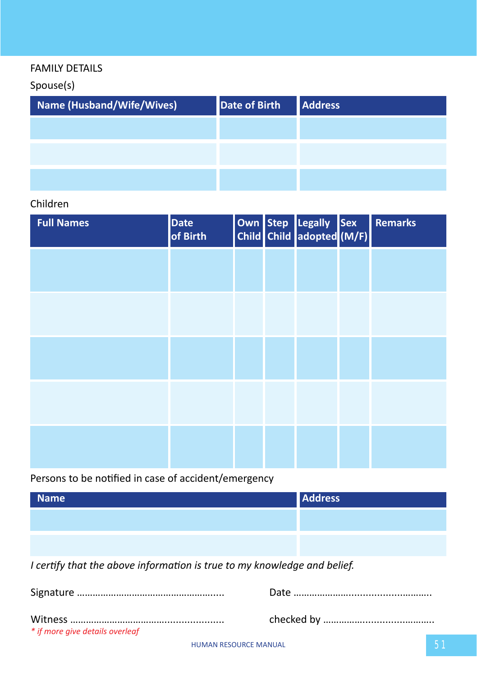# FAMILY DETAILS

Spouse(s)

| Name (Husband/Wife/Wives) | <b>Date of Birth</b> | <b>Address</b> |
|---------------------------|----------------------|----------------|
|                           |                      |                |
|                           |                      |                |
|                           |                      |                |

# Children

| <b>Full Names</b> | <b>Date</b><br>of Birth |  | Own Step Legally Sex<br>Child Child adopted (M/F) | <b>Remarks</b> |
|-------------------|-------------------------|--|---------------------------------------------------|----------------|
|                   |                         |  |                                                   |                |
|                   |                         |  |                                                   |                |
|                   |                         |  |                                                   |                |
|                   |                         |  |                                                   |                |
|                   |                         |  |                                                   |                |

# Persons to be notified in case of accident/emergency

| <b>Name</b>                                                              | <b>Address</b> |
|--------------------------------------------------------------------------|----------------|
|                                                                          |                |
|                                                                          |                |
| I certify that the above information is true to my knowledge and belief. |                |
|                                                                          |                |
|                                                                          |                |

*\* if more give details overleaf*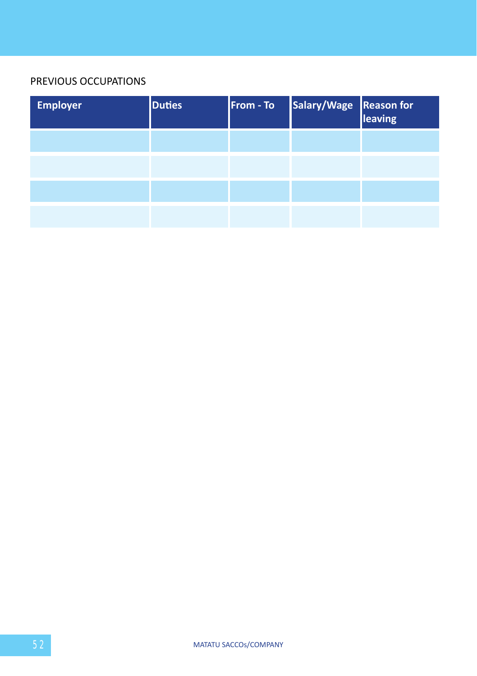# PREVIOUS OCCUPATIONS

| <b>Employer</b> | <b>Duties</b> | From - To | Salary/Wage Reason for |  |
|-----------------|---------------|-----------|------------------------|--|
|                 |               |           |                        |  |
|                 |               |           |                        |  |
|                 |               |           |                        |  |
|                 |               |           |                        |  |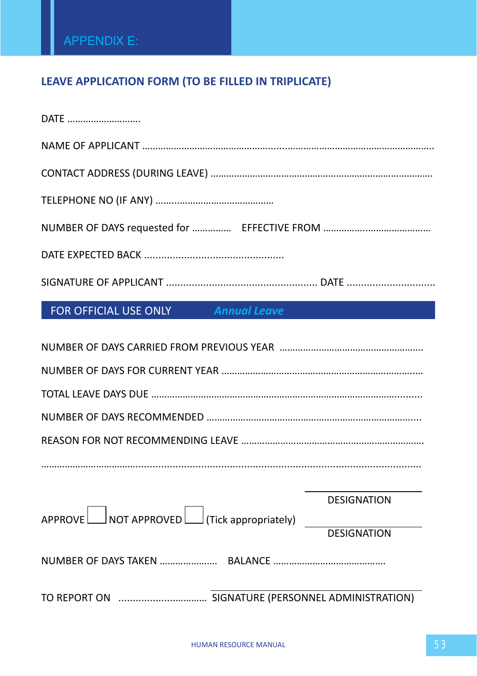# **LEAVE APPLICATION FORM (TO BE FILLED IN TRIPLICATE)**

| DATE                                                                            |
|---------------------------------------------------------------------------------|
|                                                                                 |
|                                                                                 |
|                                                                                 |
|                                                                                 |
|                                                                                 |
|                                                                                 |
| FOR OFFICIAL USE ONLY Annual Leave                                              |
|                                                                                 |
|                                                                                 |
|                                                                                 |
|                                                                                 |
|                                                                                 |
|                                                                                 |
| DESIGNATION                                                                     |
| $APPROVE$ NOT APPROVED $\Box$ (Tick appropriately) $\Box$<br><b>DESIGNATION</b> |
|                                                                                 |
|                                                                                 |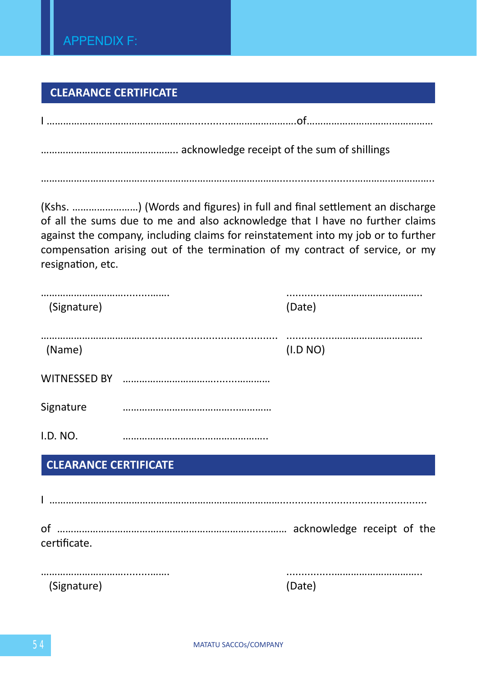# **CLEARANCE CERTIFICATE**

| resignation, etc.            | (Kshs. ) (Words and figures) in full and final settlement an discharge<br>of all the sums due to me and also acknowledge that I have no further claims<br>against the company, including claims for reinstatement into my job or to further<br>compensation arising out of the termination of my contract of service, or my |          |
|------------------------------|-----------------------------------------------------------------------------------------------------------------------------------------------------------------------------------------------------------------------------------------------------------------------------------------------------------------------------|----------|
| (Signature)                  |                                                                                                                                                                                                                                                                                                                             | (Date)   |
| (Name)                       |                                                                                                                                                                                                                                                                                                                             | (I.D NO) |
|                              |                                                                                                                                                                                                                                                                                                                             |          |
| Signature                    |                                                                                                                                                                                                                                                                                                                             |          |
| I.D. NO.                     |                                                                                                                                                                                                                                                                                                                             |          |
| <b>CLEARANCE CERTIFICATE</b> |                                                                                                                                                                                                                                                                                                                             |          |
|                              |                                                                                                                                                                                                                                                                                                                             |          |
| certificate.                 |                                                                                                                                                                                                                                                                                                                             |          |
| (Signature)                  |                                                                                                                                                                                                                                                                                                                             | (Date)   |